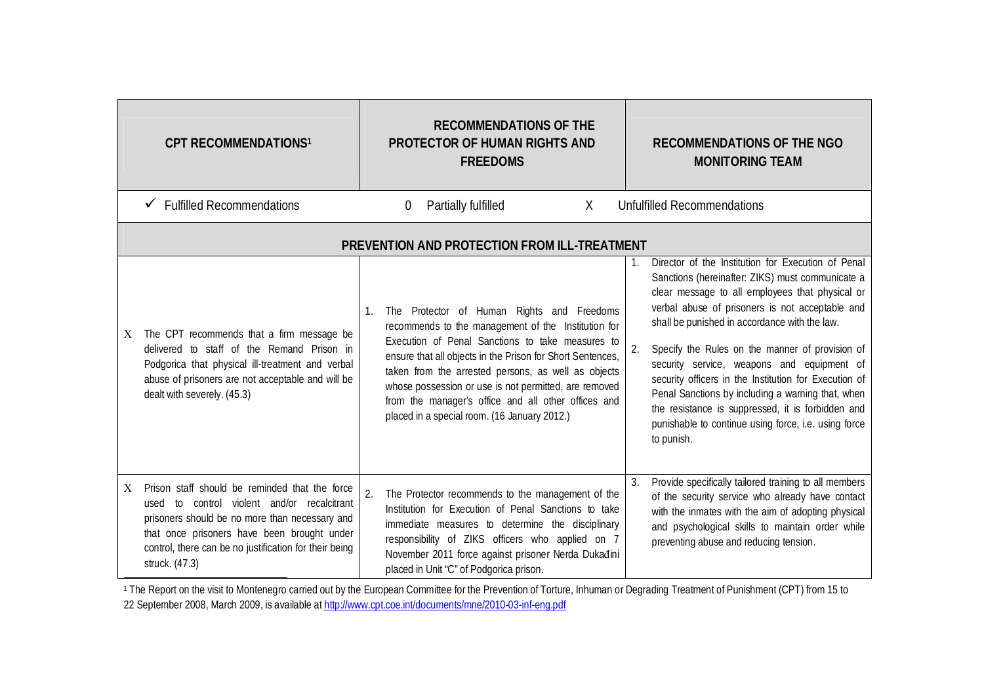|   | <b>CPT RECOMMENDATIONS1</b>                                                                                                                                                                                                                                                   |    |   | <b>RECOMMENDATIONS OF THE</b><br><b>PROTECTOR OF HUMAN RIGHTS AND</b><br><b>FREEDOMS</b>                                                                                                                                                                                                                                                                                                                                                   |              |         | <b>RECOMMENDATIONS OF THE NGO</b><br><b>MONITORING TEAM</b>                                                                                                                                                                                                                                                                                                                                                                                                                                                                                                                                             |
|---|-------------------------------------------------------------------------------------------------------------------------------------------------------------------------------------------------------------------------------------------------------------------------------|----|---|--------------------------------------------------------------------------------------------------------------------------------------------------------------------------------------------------------------------------------------------------------------------------------------------------------------------------------------------------------------------------------------------------------------------------------------------|--------------|---------|---------------------------------------------------------------------------------------------------------------------------------------------------------------------------------------------------------------------------------------------------------------------------------------------------------------------------------------------------------------------------------------------------------------------------------------------------------------------------------------------------------------------------------------------------------------------------------------------------------|
|   | <b>Fulfilled Recommendations</b>                                                                                                                                                                                                                                              |    | 0 | Partially fulfilled                                                                                                                                                                                                                                                                                                                                                                                                                        | $\mathsf{X}$ |         | <b>Unfulfilled Recommendations</b>                                                                                                                                                                                                                                                                                                                                                                                                                                                                                                                                                                      |
|   |                                                                                                                                                                                                                                                                               |    |   | PREVENTION AND PROTECTION FROM ILL-TREATMENT                                                                                                                                                                                                                                                                                                                                                                                               |              |         |                                                                                                                                                                                                                                                                                                                                                                                                                                                                                                                                                                                                         |
| X | The CPT recommends that a firm message be<br>delivered to staff of the Remand Prison in<br>Podgorica that physical ill-treatment and verbal<br>abuse of prisoners are not acceptable and will be<br>dealt with severely. (45.3)                                               | 1. |   | The Protector of Human Rights and Freedoms<br>recommends to the management of the Institution for<br>Execution of Penal Sanctions to take measures to<br>ensure that all objects in the Prison for Short Sentences,<br>taken from the arrested persons, as well as objects<br>whose possession or use is not permitted, are removed<br>from the manager's office and all other offices and<br>placed in a special room. (16 January 2012.) |              | 1<br>2. | Director of the Institution for Execution of Penal<br>Sanctions (hereinafter: ZIKS) must communicate a<br>clear message to all employees that physical or<br>verbal abuse of prisoners is not acceptable and<br>shall be punished in accordance with the law.<br>Specify the Rules on the manner of provision of<br>security service, weapons and equipment of<br>security officers in the Institution for Execution of<br>Penal Sanctions by including a warning that, when<br>the resistance is suppressed, it is forbidden and<br>punishable to continue using force, i.e. using force<br>to punish. |
| X | Prison staff should be reminded that the force<br>to control violent and/or recalcitrant<br>used<br>prisoners should be no more than necessary and<br>that once prisoners have been brought under<br>control, there can be no justification for their being<br>struck. (47.3) | 2. |   | The Protector recommends to the management of the<br>Institution for Execution of Penal Sanctions to take<br>immediate measures to determine the disciplinary<br>responsibility of ZIKS officers who applied on 7<br>November 2011 force against prisoner Nerda Dukađini<br>placed in Unit "C" of Podgorica prison.                                                                                                                        |              |         | Provide specifically tailored training to all members<br>of the security service who already have contact<br>with the inmates with the aim of adopting physical<br>and psychological skills to maintain order while<br>preventing abuse and reducing tension.                                                                                                                                                                                                                                                                                                                                           |

<sup>1</sup> The Report on the visit to Montenegro carried out by the European Committee for the Prevention of Torture, Inhuman or Degrading Treatment of Punishment (CPT) from 15 to 22 September 2008, March 2009, is available at <u>http://www.cpt.coe.int/documents/mne/2010-03-inf-eng.pdf</u>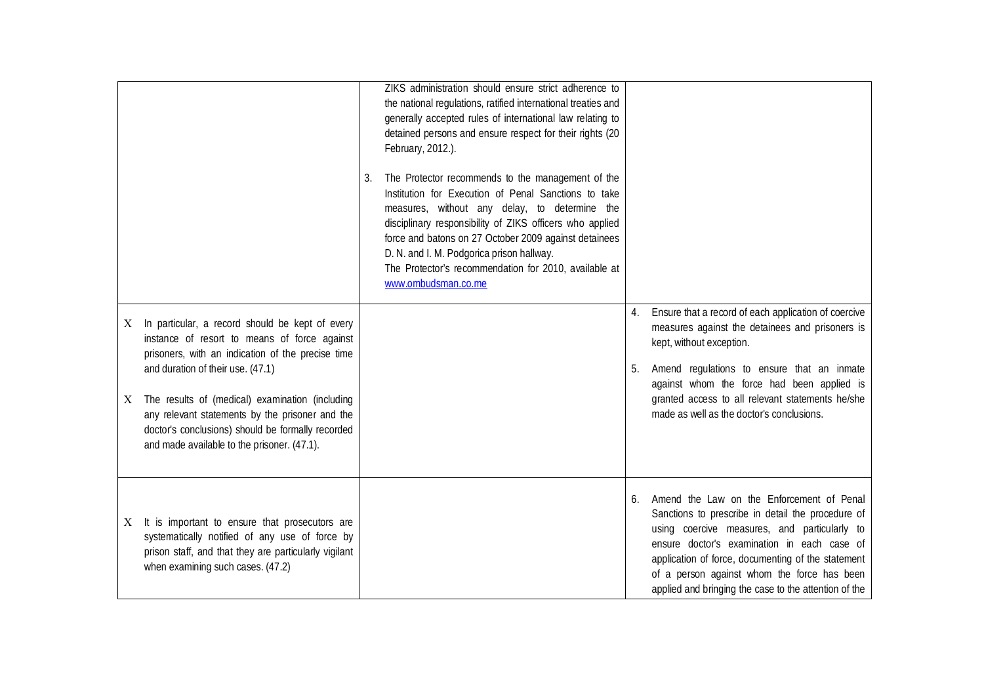|         |                                                                                                                                                                                                                                                                                                                                                                                                     | 3. | ZIKS administration should ensure strict adherence to<br>the national regulations, ratified international treaties and<br>generally accepted rules of international law relating to<br>detained persons and ensure respect for their rights (20<br>February, 2012.).<br>The Protector recommends to the management of the<br>Institution for Execution of Penal Sanctions to take<br>measures, without any delay, to determine the<br>disciplinary responsibility of ZIKS officers who applied<br>force and batons on 27 October 2009 against detainees<br>D. N. and I. M. Podgorica prison hallway.<br>The Protector's recommendation for 2010, available at<br>www.ombudsman.co.me |          |                                                                                                                                                                                                                                                                                                                                                             |
|---------|-----------------------------------------------------------------------------------------------------------------------------------------------------------------------------------------------------------------------------------------------------------------------------------------------------------------------------------------------------------------------------------------------------|----|--------------------------------------------------------------------------------------------------------------------------------------------------------------------------------------------------------------------------------------------------------------------------------------------------------------------------------------------------------------------------------------------------------------------------------------------------------------------------------------------------------------------------------------------------------------------------------------------------------------------------------------------------------------------------------------|----------|-------------------------------------------------------------------------------------------------------------------------------------------------------------------------------------------------------------------------------------------------------------------------------------------------------------------------------------------------------------|
| X.<br>X | In particular, a record should be kept of every<br>instance of resort to means of force against<br>prisoners, with an indication of the precise time<br>and duration of their use. (47.1)<br>The results of (medical) examination (including<br>any relevant statements by the prisoner and the<br>doctor's conclusions) should be formally recorded<br>and made available to the prisoner. (47.1). |    |                                                                                                                                                                                                                                                                                                                                                                                                                                                                                                                                                                                                                                                                                      | 4.<br>5. | Ensure that a record of each application of coercive<br>measures against the detainees and prisoners is<br>kept, without exception.<br>Amend regulations to ensure that an inmate<br>against whom the force had been applied is<br>granted access to all relevant statements he/she<br>made as well as the doctor's conclusions.                            |
| X.      | It is important to ensure that prosecutors are<br>systematically notified of any use of force by<br>prison staff, and that they are particularly vigilant<br>when examining such cases. (47.2)                                                                                                                                                                                                      |    |                                                                                                                                                                                                                                                                                                                                                                                                                                                                                                                                                                                                                                                                                      | 6.       | Amend the Law on the Enforcement of Penal<br>Sanctions to prescribe in detail the procedure of<br>using coercive measures, and particularly to<br>ensure doctor's examination in each case of<br>application of force, documenting of the statement<br>of a person against whom the force has been<br>applied and bringing the case to the attention of the |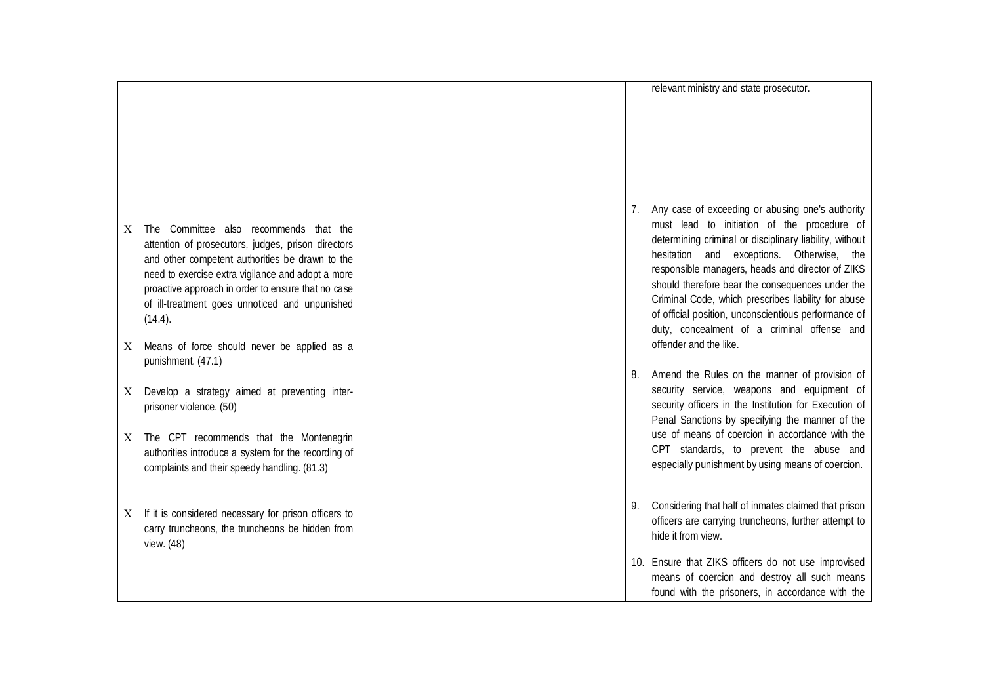|                                                                                                                                                                                                                                                                                                                                                                                  |                 | relevant ministry and state prosecutor.                                                                                                                                                                                                                                                                                                                                                                                                                                                                 |
|----------------------------------------------------------------------------------------------------------------------------------------------------------------------------------------------------------------------------------------------------------------------------------------------------------------------------------------------------------------------------------|-----------------|---------------------------------------------------------------------------------------------------------------------------------------------------------------------------------------------------------------------------------------------------------------------------------------------------------------------------------------------------------------------------------------------------------------------------------------------------------------------------------------------------------|
| The Committee also recommends that the<br>X<br>attention of prosecutors, judges, prison directors<br>and other competent authorities be drawn to the<br>need to exercise extra vigilance and adopt a more<br>proactive approach in order to ensure that no case<br>of ill-treatment goes unnoticed and unpunished<br>(14.4).<br>Means of force should never be applied as a<br>X | $\mathcal{L}$ . | Any case of exceeding or abusing one's authority<br>must lead to initiation of the procedure of<br>determining criminal or disciplinary liability, without<br>hesitation and exceptions. Otherwise, the<br>responsible managers, heads and director of ZIKS<br>should therefore bear the consequences under the<br>Criminal Code, which prescribes liability for abuse<br>of official position, unconscientious performance of<br>duty, concealment of a criminal offense and<br>offender and the like. |
| punishment. (47.1)<br>Develop a strategy aimed at preventing inter-<br>X<br>prisoner violence. (50)<br>The CPT recommends that the Montenegrin<br>X<br>authorities introduce a system for the recording of<br>complaints and their speedy handling. (81.3)                                                                                                                       | 8.              | Amend the Rules on the manner of provision of<br>security service, weapons and equipment of<br>security officers in the Institution for Execution of<br>Penal Sanctions by specifying the manner of the<br>use of means of coercion in accordance with the<br>CPT standards, to prevent the abuse and<br>especially punishment by using means of coercion.                                                                                                                                              |
| If it is considered necessary for prison officers to<br>X<br>carry truncheons, the truncheons be hidden from<br>view. (48)                                                                                                                                                                                                                                                       | 9.              | Considering that half of inmates claimed that prison<br>officers are carrying truncheons, further attempt to<br>hide it from view.<br>10. Ensure that ZIKS officers do not use improvised<br>means of coercion and destroy all such means<br>found with the prisoners, in accordance with the                                                                                                                                                                                                           |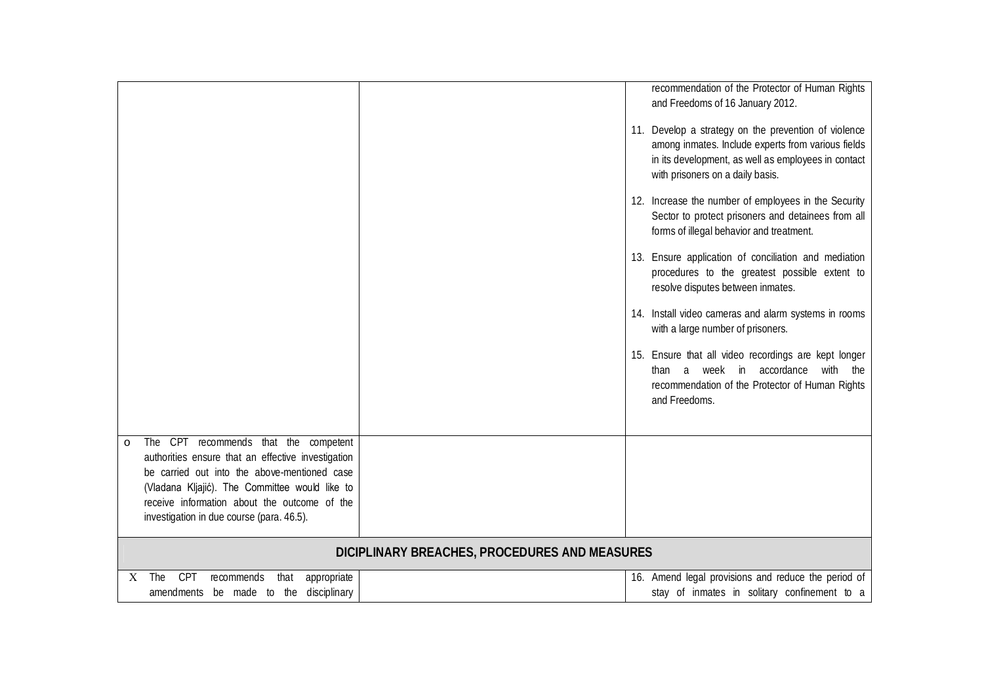| The CPT<br>recommends that the competent<br>$\circ$<br>authorities ensure that an effective investigation<br>be carried out into the above-mentioned case<br>(Vladana Kljajić). The Committee would like to<br>receive information about the outcome of the<br>investigation in due course (para. 46.5). |  | recommendation of the Protector of Human Rights<br>and Freedoms of 16 January 2012.<br>11. Develop a strategy on the prevention of violence<br>among inmates. Include experts from various fields<br>in its development, as well as employees in contact<br>with prisoners on a daily basis.<br>12. Increase the number of employees in the Security<br>Sector to protect prisoners and detainees from all<br>forms of illegal behavior and treatment.<br>13. Ensure application of conciliation and mediation<br>procedures to the greatest possible extent to<br>resolve disputes between inmates.<br>14. Install video cameras and alarm systems in rooms<br>with a large number of prisoners.<br>15. Ensure that all video recordings are kept longer<br>than a week in accordance with the<br>recommendation of the Protector of Human Rights<br>and Freedoms. |  |
|----------------------------------------------------------------------------------------------------------------------------------------------------------------------------------------------------------------------------------------------------------------------------------------------------------|--|---------------------------------------------------------------------------------------------------------------------------------------------------------------------------------------------------------------------------------------------------------------------------------------------------------------------------------------------------------------------------------------------------------------------------------------------------------------------------------------------------------------------------------------------------------------------------------------------------------------------------------------------------------------------------------------------------------------------------------------------------------------------------------------------------------------------------------------------------------------------|--|
| DICIPLINARY BREACHES, PROCEDURES AND MEASURES                                                                                                                                                                                                                                                            |  |                                                                                                                                                                                                                                                                                                                                                                                                                                                                                                                                                                                                                                                                                                                                                                                                                                                                     |  |
| <b>CPT</b><br>The<br>appropriate<br>recommends<br>that<br>X                                                                                                                                                                                                                                              |  | 16. Amend legal provisions and reduce the period of                                                                                                                                                                                                                                                                                                                                                                                                                                                                                                                                                                                                                                                                                                                                                                                                                 |  |
| amendments be made to the disciplinary                                                                                                                                                                                                                                                                   |  | stay of inmates in solitary confinement to a                                                                                                                                                                                                                                                                                                                                                                                                                                                                                                                                                                                                                                                                                                                                                                                                                        |  |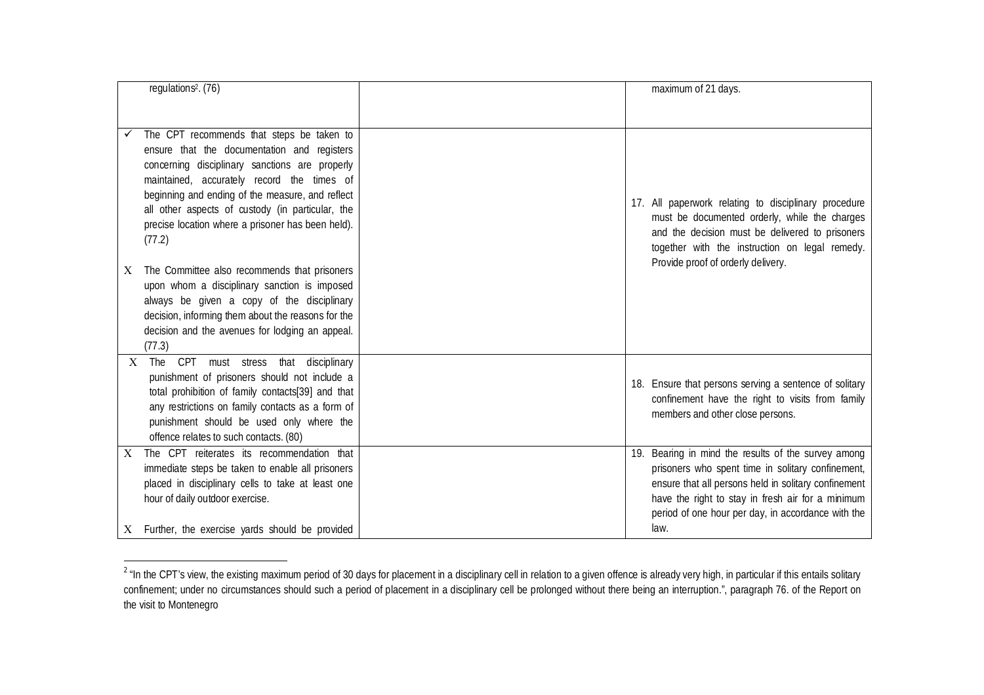| regulations <sup>2</sup> . (76)                                                                                                                                                                                                                                                                                                                                 | maximum of 21 days.                                                                                                                                                                                                                                                                 |
|-----------------------------------------------------------------------------------------------------------------------------------------------------------------------------------------------------------------------------------------------------------------------------------------------------------------------------------------------------------------|-------------------------------------------------------------------------------------------------------------------------------------------------------------------------------------------------------------------------------------------------------------------------------------|
|                                                                                                                                                                                                                                                                                                                                                                 |                                                                                                                                                                                                                                                                                     |
| The CPT recommends that steps be taken to<br>ensure that the documentation and registers<br>concerning disciplinary sanctions are properly<br>maintained, accurately record the times of<br>beginning and ending of the measure, and reflect<br>all other aspects of custody (in particular, the<br>precise location where a prisoner has been held).<br>(77.2) | 17. All paperwork relating to disciplinary procedure<br>must be documented orderly, while the charges<br>and the decision must be delivered to prisoners<br>together with the instruction on legal remedy.<br>Provide proof of orderly delivery.                                    |
| The Committee also recommends that prisoners<br>Χ<br>upon whom a disciplinary sanction is imposed<br>always be given a copy of the disciplinary<br>decision, informing them about the reasons for the<br>decision and the avenues for lodging an appeal.<br>(77.3)                                                                                              |                                                                                                                                                                                                                                                                                     |
| <b>CPT</b><br>that disciplinary<br>$X$ The<br>must stress<br>punishment of prisoners should not include a<br>total prohibition of family contacts[39] and that<br>any restrictions on family contacts as a form of<br>punishment should be used only where the<br>offence relates to such contacts. (80)                                                        | 18. Ensure that persons serving a sentence of solitary<br>confinement have the right to visits from family<br>members and other close persons.                                                                                                                                      |
| The CPT reiterates its recommendation that<br>X<br>immediate steps be taken to enable all prisoners<br>placed in disciplinary cells to take at least one<br>hour of daily outdoor exercise.<br>$X$ Further, the exercise yards should be provided                                                                                                               | 19. Bearing in mind the results of the survey among<br>prisoners who spent time in solitary confinement,<br>ensure that all persons held in solitary confinement<br>have the right to stay in fresh air for a minimum<br>period of one hour per day, in accordance with the<br>law. |

and the CPT's view, the existing maximum period of 30 days for placement in a disciplinary cell in relation to a given offence is already very high, in particular if this entails solitary entails solitary and the CPT's vi confinement; under no circumstances should such a period of placement in a disciplinary cell be prolonged without there being an interruption.", paragraph 76. of the Report on the visit to Montenegro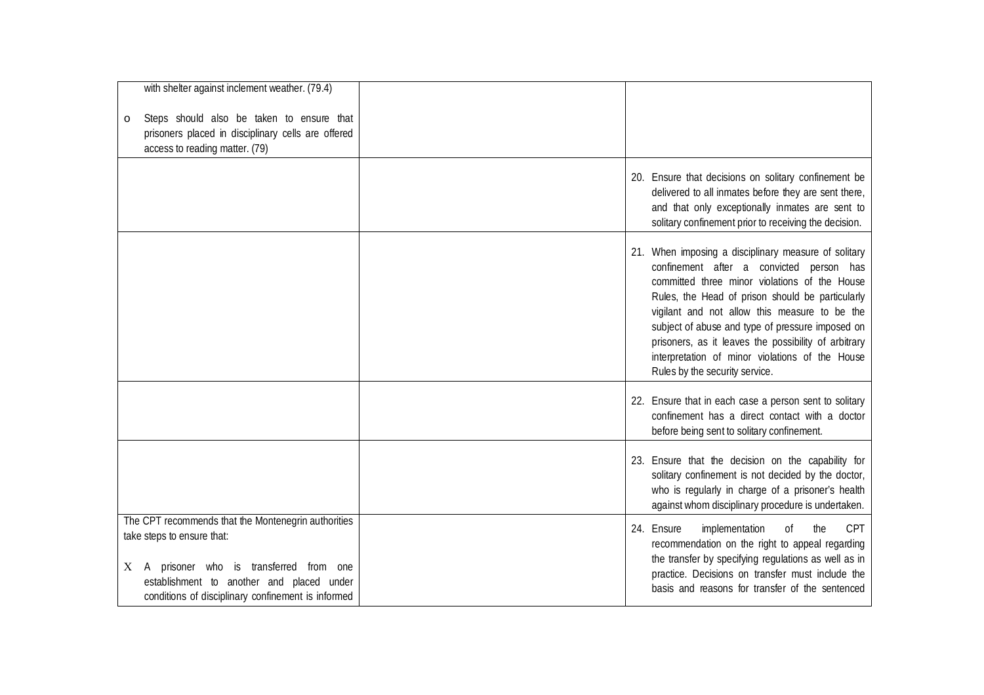| with shelter against inclement weather. (79.4)                                                                                                                                                                                      |                                                                                                                                                                                                                                                                                                                                                                                                                                                         |
|-------------------------------------------------------------------------------------------------------------------------------------------------------------------------------------------------------------------------------------|---------------------------------------------------------------------------------------------------------------------------------------------------------------------------------------------------------------------------------------------------------------------------------------------------------------------------------------------------------------------------------------------------------------------------------------------------------|
| Steps should also be taken to ensure that<br>O<br>prisoners placed in disciplinary cells are offered<br>access to reading matter. (79)                                                                                              |                                                                                                                                                                                                                                                                                                                                                                                                                                                         |
|                                                                                                                                                                                                                                     | 20. Ensure that decisions on solitary confinement be<br>delivered to all inmates before they are sent there,<br>and that only exceptionally inmates are sent to<br>solitary confinement prior to receiving the decision.                                                                                                                                                                                                                                |
|                                                                                                                                                                                                                                     | 21. When imposing a disciplinary measure of solitary<br>confinement after a convicted person has<br>committed three minor violations of the House<br>Rules, the Head of prison should be particularly<br>vigilant and not allow this measure to be the<br>subject of abuse and type of pressure imposed on<br>prisoners, as it leaves the possibility of arbitrary<br>interpretation of minor violations of the House<br>Rules by the security service. |
|                                                                                                                                                                                                                                     | 22. Ensure that in each case a person sent to solitary<br>confinement has a direct contact with a doctor<br>before being sent to solitary confinement.                                                                                                                                                                                                                                                                                                  |
|                                                                                                                                                                                                                                     | 23. Ensure that the decision on the capability for<br>solitary confinement is not decided by the doctor,<br>who is regularly in charge of a prisoner's health<br>against whom disciplinary procedure is undertaken.                                                                                                                                                                                                                                     |
| The CPT recommends that the Montenegrin authorities<br>take steps to ensure that:<br>A prisoner who is transferred from one<br>X<br>establishment to another and placed under<br>conditions of disciplinary confinement is informed | the<br><b>CPT</b><br>24. Ensure<br>implementation<br>0f<br>recommendation on the right to appeal regarding<br>the transfer by specifying regulations as well as in<br>practice. Decisions on transfer must include the<br>basis and reasons for transfer of the sentenced                                                                                                                                                                               |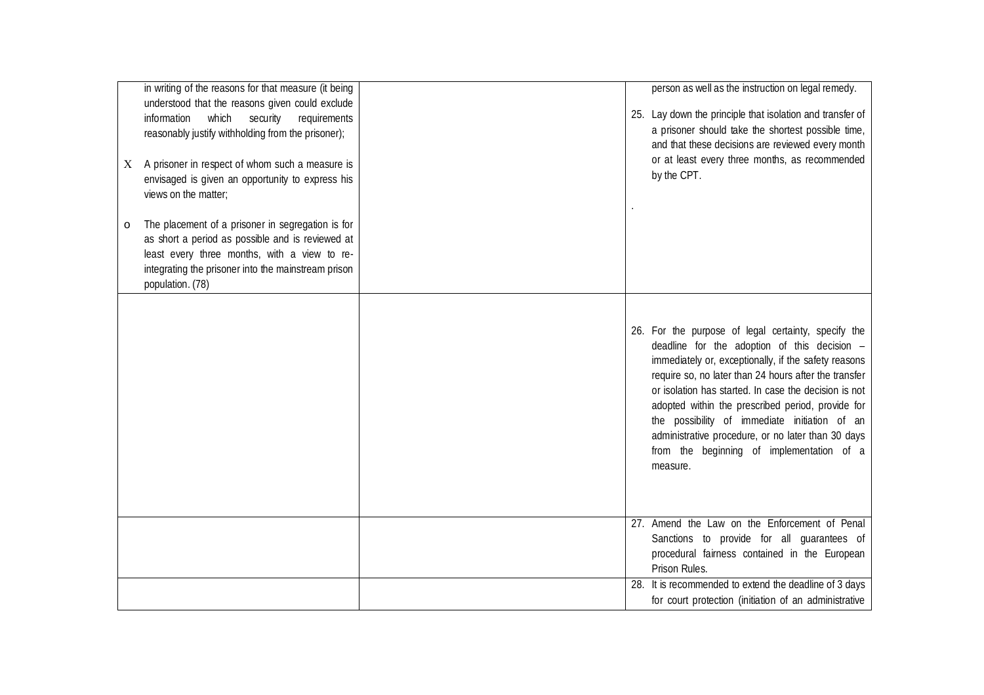| X<br>$\circ$ | in writing of the reasons for that measure (it being<br>understood that the reasons given could exclude<br>information<br>which security<br>requirements<br>reasonably justify withholding from the prisoner);<br>A prisoner in respect of whom such a measure is<br>envisaged is given an opportunity to express his<br>views on the matter;<br>The placement of a prisoner in segregation is for<br>as short a period as possible and is reviewed at<br>least every three months, with a view to re-<br>integrating the prisoner into the mainstream prison<br>population. (78) |  | person as well as the instruction on legal remedy.<br>25. Lay down the principle that isolation and transfer of<br>a prisoner should take the shortest possible time,<br>and that these decisions are reviewed every month<br>or at least every three months, as recommended<br>by the CPT.                                                                                                                                                                                                        |
|--------------|-----------------------------------------------------------------------------------------------------------------------------------------------------------------------------------------------------------------------------------------------------------------------------------------------------------------------------------------------------------------------------------------------------------------------------------------------------------------------------------------------------------------------------------------------------------------------------------|--|----------------------------------------------------------------------------------------------------------------------------------------------------------------------------------------------------------------------------------------------------------------------------------------------------------------------------------------------------------------------------------------------------------------------------------------------------------------------------------------------------|
|              |                                                                                                                                                                                                                                                                                                                                                                                                                                                                                                                                                                                   |  | 26. For the purpose of legal certainty, specify the<br>deadline for the adoption of this decision -<br>immediately or, exceptionally, if the safety reasons<br>require so, no later than 24 hours after the transfer<br>or isolation has started. In case the decision is not<br>adopted within the prescribed period, provide for<br>the possibility of immediate initiation of an<br>administrative procedure, or no later than 30 days<br>from the beginning of implementation of a<br>measure. |
|              |                                                                                                                                                                                                                                                                                                                                                                                                                                                                                                                                                                                   |  | 27. Amend the Law on the Enforcement of Penal<br>Sanctions to provide for all guarantees of<br>procedural fairness contained in the European<br>Prison Rules.                                                                                                                                                                                                                                                                                                                                      |
|              |                                                                                                                                                                                                                                                                                                                                                                                                                                                                                                                                                                                   |  | 28. It is recommended to extend the deadline of 3 days<br>for court protection (initiation of an administrative                                                                                                                                                                                                                                                                                                                                                                                    |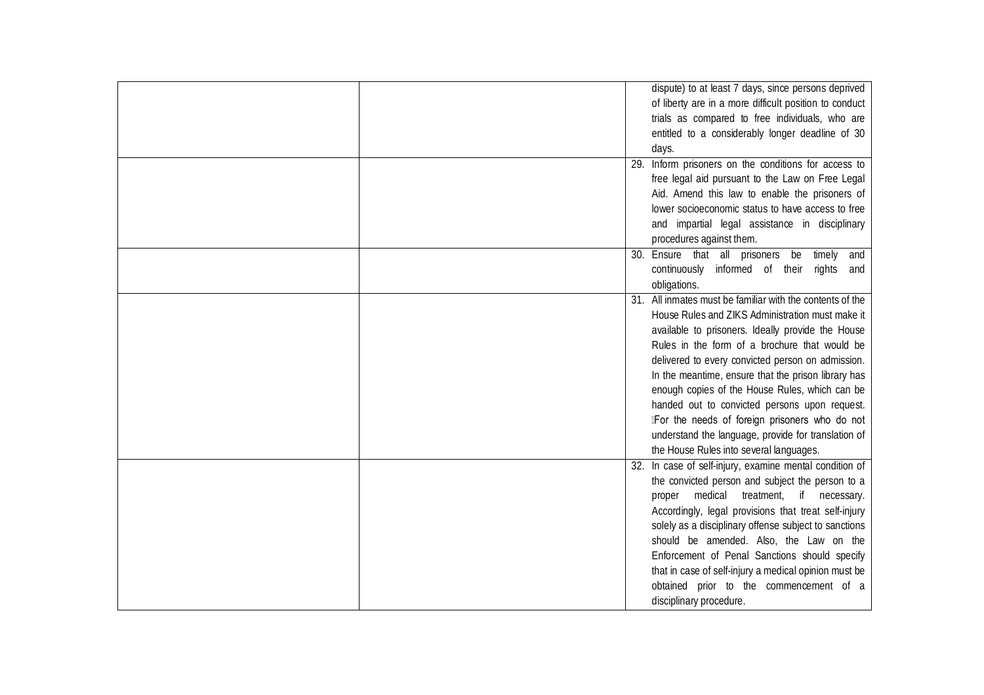| dispute) to at least 7 days, since persons deprived       |
|-----------------------------------------------------------|
| of liberty are in a more difficult position to conduct    |
| trials as compared to free individuals, who are           |
| entitled to a considerably longer deadline of 30          |
|                                                           |
| days.                                                     |
| 29. Inform prisoners on the conditions for access to      |
| free legal aid pursuant to the Law on Free Legal          |
| Aid. Amend this law to enable the prisoners of            |
| lower socioeconomic status to have access to free         |
| and impartial legal assistance in disciplinary            |
| procedures against them.                                  |
| 30. Ensure that all prisoners be<br>timely and            |
| continuously informed of their<br>rights and              |
| obligations.                                              |
| 31. All inmates must be familiar with the contents of the |
| House Rules and ZIKS Administration must make it          |
| available to prisoners. Ideally provide the House         |
| Rules in the form of a brochure that would be             |
| delivered to every convicted person on admission.         |
| In the meantime, ensure that the prison library has       |
| enough copies of the House Rules, which can be            |
| handed out to convicted persons upon request.             |
| IFor the needs of foreign prisoners who do not            |
| understand the language, provide for translation of       |
| the House Rules into several languages.                   |
| 32. In case of self-injury, examine mental condition of   |
|                                                           |
| the convicted person and subject the person to a          |
| proper medical treatment, if necessary.                   |
| Accordingly, legal provisions that treat self-injury      |
| solely as a disciplinary offense subject to sanctions     |
| should be amended. Also, the Law on the                   |
| Enforcement of Penal Sanctions should specify             |
| that in case of self-injury a medical opinion must be     |
| obtained prior to the commencement of a                   |
| disciplinary procedure.                                   |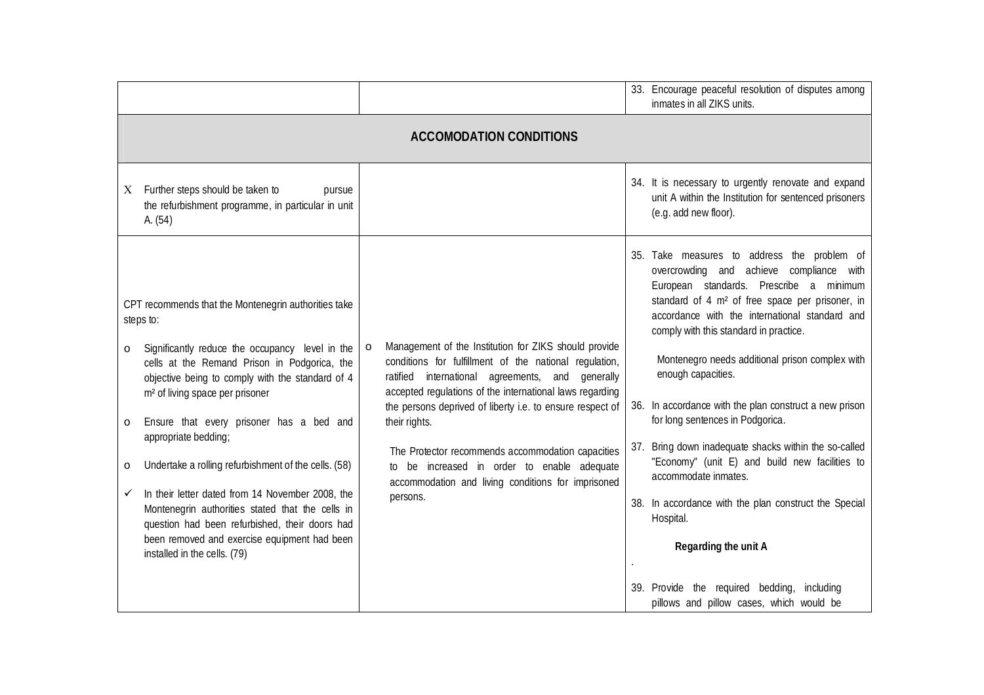|                                                                                                                                                                                                               |                                                                                                                                                                                                                                            | 33. Encourage peaceful resolution of disputes among<br>inmates in all ZIKS units.                                                                                                                                                                                                             |  |
|---------------------------------------------------------------------------------------------------------------------------------------------------------------------------------------------------------------|--------------------------------------------------------------------------------------------------------------------------------------------------------------------------------------------------------------------------------------------|-----------------------------------------------------------------------------------------------------------------------------------------------------------------------------------------------------------------------------------------------------------------------------------------------|--|
|                                                                                                                                                                                                               | <b>ACCOMODATION CONDITIONS</b>                                                                                                                                                                                                             |                                                                                                                                                                                                                                                                                               |  |
| Further steps should be taken to<br>pursue<br>X<br>the refurbishment programme, in particular in unit<br>A. (54)                                                                                              |                                                                                                                                                                                                                                            | 34. It is necessary to urgently renovate and expand<br>unit A within the Institution for sentenced prisoners<br>(e.g. add new floor).                                                                                                                                                         |  |
| CPT recommends that the Montenegrin authorities take<br>steps to:                                                                                                                                             |                                                                                                                                                                                                                                            | 35. Take measures to address the problem of<br>overcrowding and achieve compliance with<br>European standards. Prescribe a minimum<br>standard of 4 m <sup>2</sup> of free space per prisoner, in<br>accordance with the international standard and<br>comply with this standard in practice. |  |
| Significantly reduce the occupancy level in the<br>$\circ$<br>cells at the Remand Prison in Podgorica, the<br>objective being to comply with the standard of 4<br>m <sup>2</sup> of living space per prisoner | Management of the Institution for ZIKS should provide<br>$\circ$<br>conditions for fulfillment of the national regulation,<br>ratified international agreements, and generally<br>accepted regulations of the international laws regarding | Montenegro needs additional prison complex with<br>enough capacities.                                                                                                                                                                                                                         |  |
| Ensure that every prisoner has a bed and<br>$\circ$                                                                                                                                                           | the persons deprived of liberty i.e. to ensure respect of<br>their rights.                                                                                                                                                                 | 36. In accordance with the plan construct a new prison<br>for long sentences in Podgorica.                                                                                                                                                                                                    |  |
| appropriate bedding;<br>Undertake a rolling refurbishment of the cells. (58)<br>O                                                                                                                             | The Protector recommends accommodation capacities<br>to be increased in order to enable adequate<br>accommodation and living conditions for imprisoned<br>persons.                                                                         | Bring down inadequate shacks within the so-called<br>37.<br>"Economy" (unit E) and build new facilities to<br>accommodate inmates.                                                                                                                                                            |  |
| In their letter dated from 14 November 2008, the<br>✓<br>Montenegrin authorities stated that the cells in<br>question had been refurbished, their doors had                                                   |                                                                                                                                                                                                                                            | 38. In accordance with the plan construct the Special<br>Hospital.                                                                                                                                                                                                                            |  |
| been removed and exercise equipment had been<br>installed in the cells. (79)                                                                                                                                  |                                                                                                                                                                                                                                            | Regarding the unit A                                                                                                                                                                                                                                                                          |  |
|                                                                                                                                                                                                               |                                                                                                                                                                                                                                            | 39. Provide the required bedding, including<br>pillows and pillow cases, which would be                                                                                                                                                                                                       |  |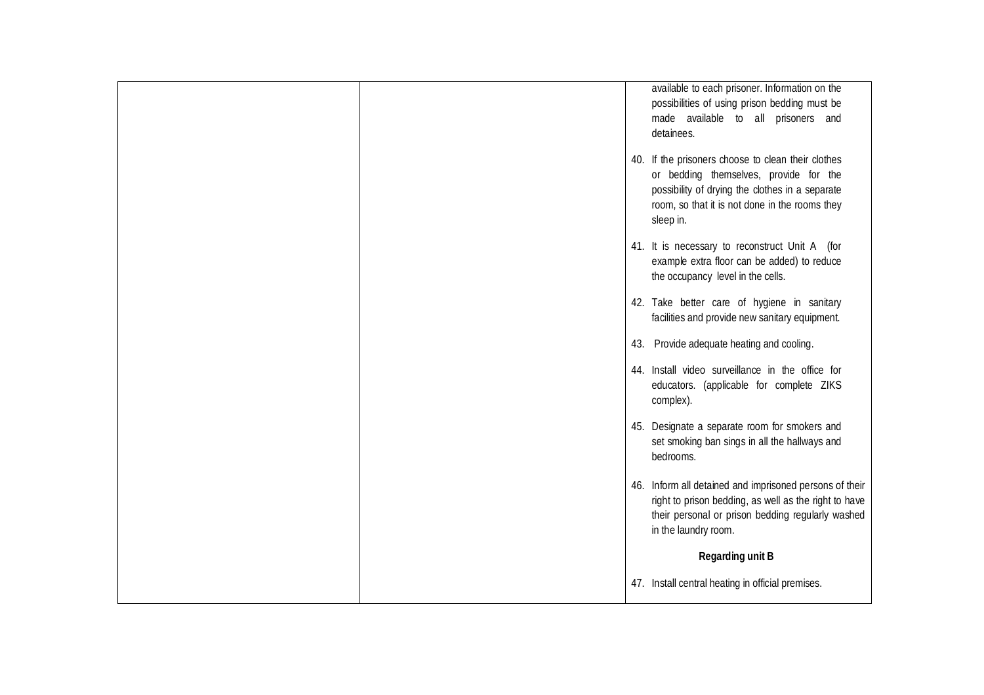|  | available to each prisoner. Information on the<br>possibilities of using prison bedding must be<br>made available to all prisoners and<br>detainees.                                                           |
|--|----------------------------------------------------------------------------------------------------------------------------------------------------------------------------------------------------------------|
|  | 40. If the prisoners choose to clean their clothes<br>or bedding themselves, provide for the<br>possibility of drying the clothes in a separate<br>room, so that it is not done in the rooms they<br>sleep in. |
|  | 41. It is necessary to reconstruct Unit A (for<br>example extra floor can be added) to reduce<br>the occupancy level in the cells.                                                                             |
|  | 42. Take better care of hygiene in sanitary<br>facilities and provide new sanitary equipment.                                                                                                                  |
|  | 43. Provide adequate heating and cooling.                                                                                                                                                                      |
|  | 44. Install video surveillance in the office for<br>educators. (applicable for complete ZIKS<br>complex).                                                                                                      |
|  | 45. Designate a separate room for smokers and<br>set smoking ban sings in all the hallways and<br>bedrooms.                                                                                                    |
|  | 46. Inform all detained and imprisoned persons of their<br>right to prison bedding, as well as the right to have<br>their personal or prison bedding regularly washed<br>in the laundry room.                  |
|  | <b>Regarding unit B</b>                                                                                                                                                                                        |
|  | 47. Install central heating in official premises.                                                                                                                                                              |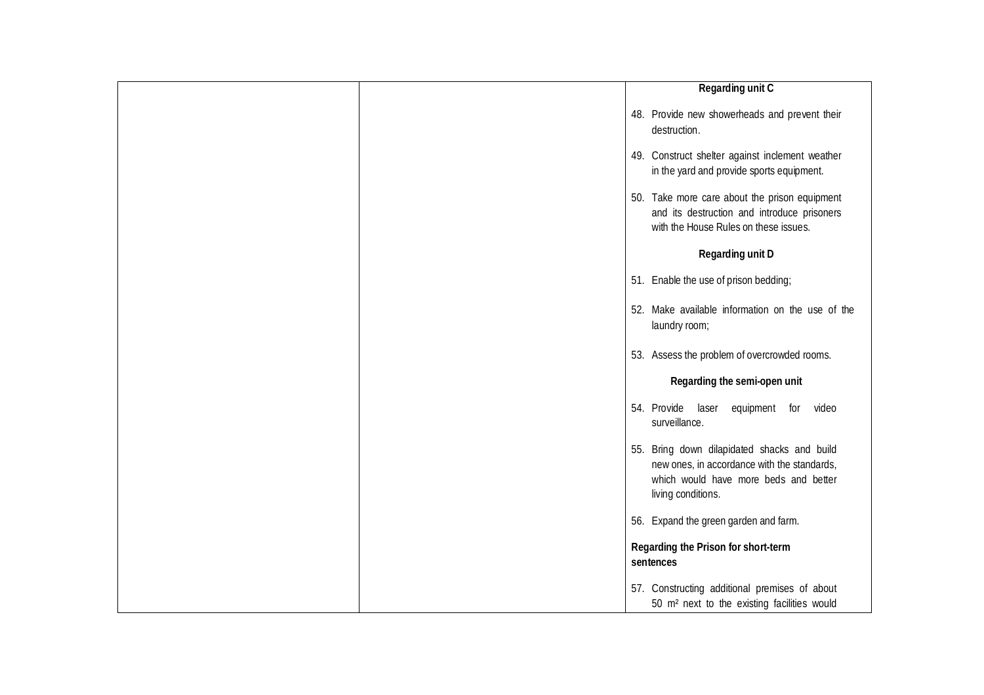|  | <b>Regarding unit C</b>                                                                                                                                   |
|--|-----------------------------------------------------------------------------------------------------------------------------------------------------------|
|  | 48. Provide new showerheads and prevent their<br>destruction.                                                                                             |
|  | 49. Construct shelter against inclement weather<br>in the yard and provide sports equipment.                                                              |
|  | 50. Take more care about the prison equipment<br>and its destruction and introduce prisoners<br>with the House Rules on these issues.                     |
|  | <b>Regarding unit D</b>                                                                                                                                   |
|  | 51. Enable the use of prison bedding;                                                                                                                     |
|  | 52. Make available information on the use of the<br>laundry room;                                                                                         |
|  | 53. Assess the problem of overcrowded rooms.                                                                                                              |
|  | Regarding the semi-open unit                                                                                                                              |
|  | 54. Provide laser equipment<br>for<br>video<br>surveillance.                                                                                              |
|  | 55. Bring down dilapidated shacks and build<br>new ones, in accordance with the standards,<br>which would have more beds and better<br>living conditions. |
|  | 56. Expand the green garden and farm.                                                                                                                     |
|  | Regarding the Prison for short-term<br>sentences                                                                                                          |
|  | 57. Constructing additional premises of about<br>50 m <sup>2</sup> next to the existing facilities would                                                  |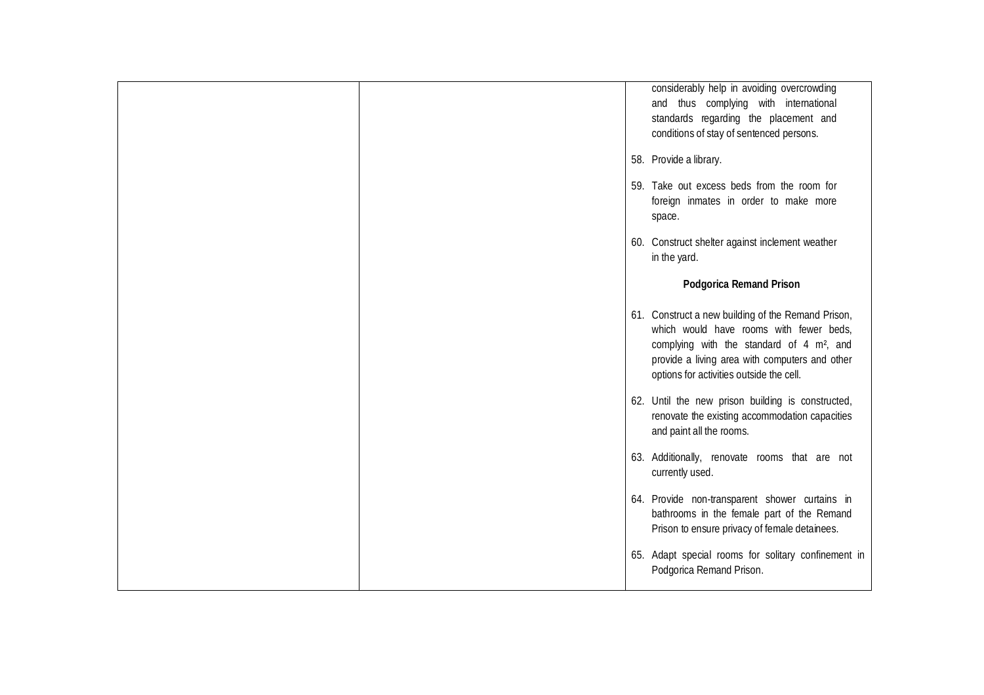| considerably help in avoiding overcrowding<br>and thus complying with international<br>standards regarding the placement and<br>conditions of stay of sentenced persons.                                                                             |
|------------------------------------------------------------------------------------------------------------------------------------------------------------------------------------------------------------------------------------------------------|
| 58. Provide a library.                                                                                                                                                                                                                               |
| 59. Take out excess beds from the room for<br>foreign inmates in order to make more<br>space.                                                                                                                                                        |
| 60. Construct shelter against inclement weather<br>in the yard.                                                                                                                                                                                      |
| <b>Podgorica Remand Prison</b>                                                                                                                                                                                                                       |
| 61. Construct a new building of the Remand Prison,<br>which would have rooms with fewer beds,<br>complying with the standard of 4 m <sup>2</sup> , and<br>provide a living area with computers and other<br>options for activities outside the cell. |
| 62. Until the new prison building is constructed,<br>renovate the existing accommodation capacities<br>and paint all the rooms.                                                                                                                      |
| 63. Additionally, renovate rooms that are not<br>currently used.                                                                                                                                                                                     |
| 64. Provide non-transparent shower curtains in<br>bathrooms in the female part of the Remand<br>Prison to ensure privacy of female detainees.                                                                                                        |
| 65. Adapt special rooms for solitary confinement in<br>Podgorica Remand Prison.                                                                                                                                                                      |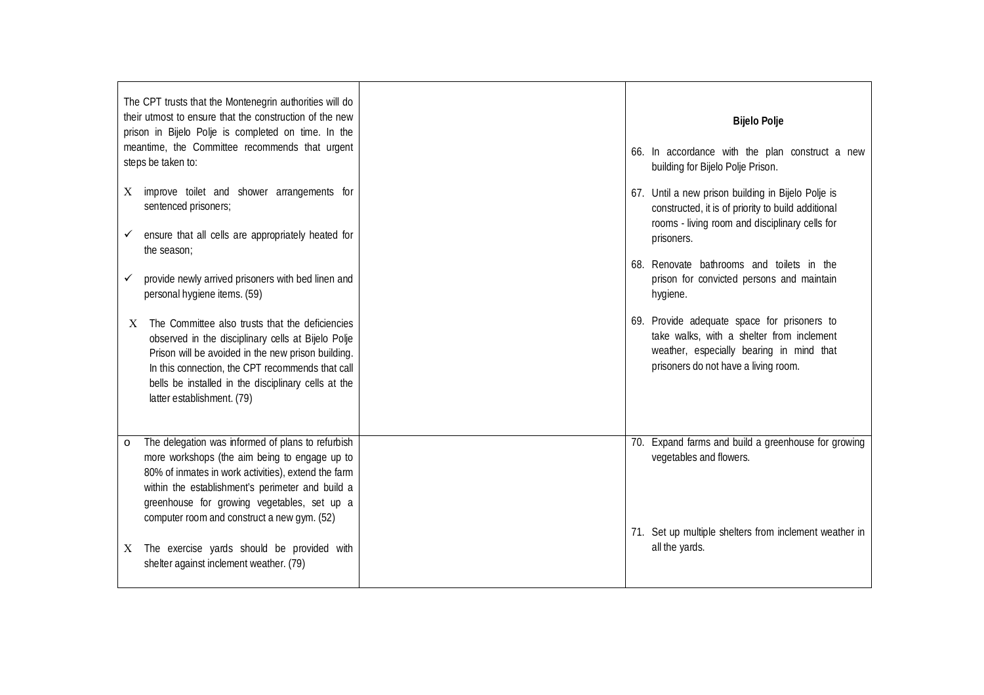| The CPT trusts that the Montenegrin authorities will do<br>their utmost to ensure that the construction of the new<br>prison in Bijelo Polje is completed on time. In the<br>meantime, the Committee recommends that urgent                                                                                            | <b>Bijelo Polje</b>                                                                                                                                                          |
|------------------------------------------------------------------------------------------------------------------------------------------------------------------------------------------------------------------------------------------------------------------------------------------------------------------------|------------------------------------------------------------------------------------------------------------------------------------------------------------------------------|
| steps be taken to:                                                                                                                                                                                                                                                                                                     | 66. In accordance with the plan construct a new<br>building for Bijelo Polje Prison.                                                                                         |
| improve toilet and shower arrangements for<br>X<br>sentenced prisoners;                                                                                                                                                                                                                                                | 67. Until a new prison building in Bijelo Polje is<br>constructed, it is of priority to build additional<br>rooms - living room and disciplinary cells for                   |
| ensure that all cells are appropriately heated for<br>the season;                                                                                                                                                                                                                                                      | prisoners.                                                                                                                                                                   |
| provide newly arrived prisoners with bed linen and<br>personal hygiene items. (59)                                                                                                                                                                                                                                     | 68. Renovate bathrooms and toilets in the<br>prison for convicted persons and maintain<br>hygiene.                                                                           |
| The Committee also trusts that the deficiencies<br>X<br>observed in the disciplinary cells at Bijelo Polje<br>Prison will be avoided in the new prison building.<br>In this connection, the CPT recommends that call<br>bells be installed in the disciplinary cells at the<br>latter establishment. (79)              | 69. Provide adequate space for prisoners to<br>take walks, with a shelter from inclement<br>weather, especially bearing in mind that<br>prisoners do not have a living room. |
| The delegation was informed of plans to refurbish<br>$\circ$<br>more workshops (the aim being to engage up to<br>80% of inmates in work activities), extend the farm<br>within the establishment's perimeter and build a<br>greenhouse for growing vegetables, set up a<br>computer room and construct a new gym. (52) | 70. Expand farms and build a greenhouse for growing<br>vegetables and flowers.                                                                                               |
| The exercise yards should be provided with<br>X<br>shelter against inclement weather. (79)                                                                                                                                                                                                                             | 71. Set up multiple shelters from inclement weather in<br>all the yards.                                                                                                     |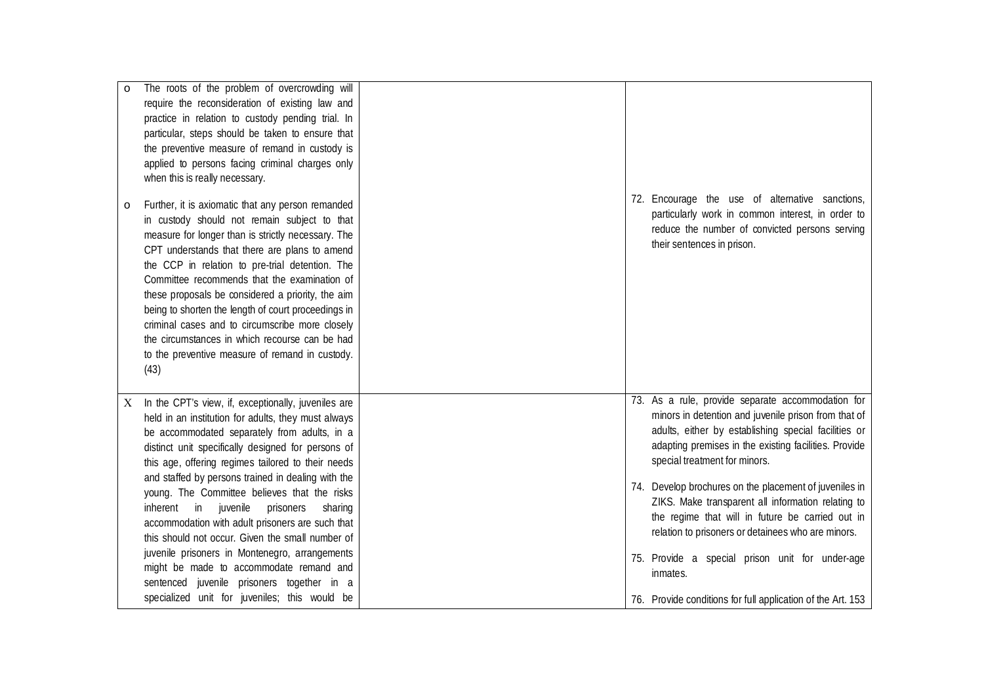| The roots of the problem of overcrowding will<br>$\circ$<br>require the reconsideration of existing law and<br>practice in relation to custody pending trial. In<br>particular, steps should be taken to ensure that<br>the preventive measure of remand in custody is<br>applied to persons facing criminal charges only<br>when this is really necessary.<br>Further, it is axiomatic that any person remanded<br>$\circ$                                                                                                                                                                                                                                                                                                              | 72. Encourage the use of alternative sanctions,                                                                                                                                                                                                                                                                                                                                                                                                                                                                                                                                                                     |
|------------------------------------------------------------------------------------------------------------------------------------------------------------------------------------------------------------------------------------------------------------------------------------------------------------------------------------------------------------------------------------------------------------------------------------------------------------------------------------------------------------------------------------------------------------------------------------------------------------------------------------------------------------------------------------------------------------------------------------------|---------------------------------------------------------------------------------------------------------------------------------------------------------------------------------------------------------------------------------------------------------------------------------------------------------------------------------------------------------------------------------------------------------------------------------------------------------------------------------------------------------------------------------------------------------------------------------------------------------------------|
| in custody should not remain subject to that<br>measure for longer than is strictly necessary. The<br>CPT understands that there are plans to amend<br>the CCP in relation to pre-trial detention. The<br>Committee recommends that the examination of<br>these proposals be considered a priority, the aim<br>being to shorten the length of court proceedings in<br>criminal cases and to circumscribe more closely<br>the circumstances in which recourse can be had<br>to the preventive measure of remand in custody.<br>(43)                                                                                                                                                                                                       | particularly work in common interest, in order to<br>reduce the number of convicted persons serving<br>their sentences in prison.                                                                                                                                                                                                                                                                                                                                                                                                                                                                                   |
| In the CPT's view, if, exceptionally, juveniles are<br>X<br>held in an institution for adults, they must always<br>be accommodated separately from adults, in a<br>distinct unit specifically designed for persons of<br>this age, offering regimes tailored to their needs<br>and staffed by persons trained in dealing with the<br>young. The Committee believes that the risks<br>inherent in<br>juvenile<br>prisoners<br>sharing<br>accommodation with adult prisoners are such that<br>this should not occur. Given the small number of<br>juvenile prisoners in Montenegro, arrangements<br>might be made to accommodate remand and<br>sentenced juvenile prisoners together in a<br>specialized unit for juveniles; this would be | 73. As a rule, provide separate accommodation for<br>minors in detention and juvenile prison from that of<br>adults, either by establishing special facilities or<br>adapting premises in the existing facilities. Provide<br>special treatment for minors.<br>74. Develop brochures on the placement of juveniles in<br>ZIKS. Make transparent all information relating to<br>the regime that will in future be carried out in<br>relation to prisoners or detainees who are minors.<br>75. Provide a special prison unit for under-age<br>inmates.<br>76. Provide conditions for full application of the Art. 153 |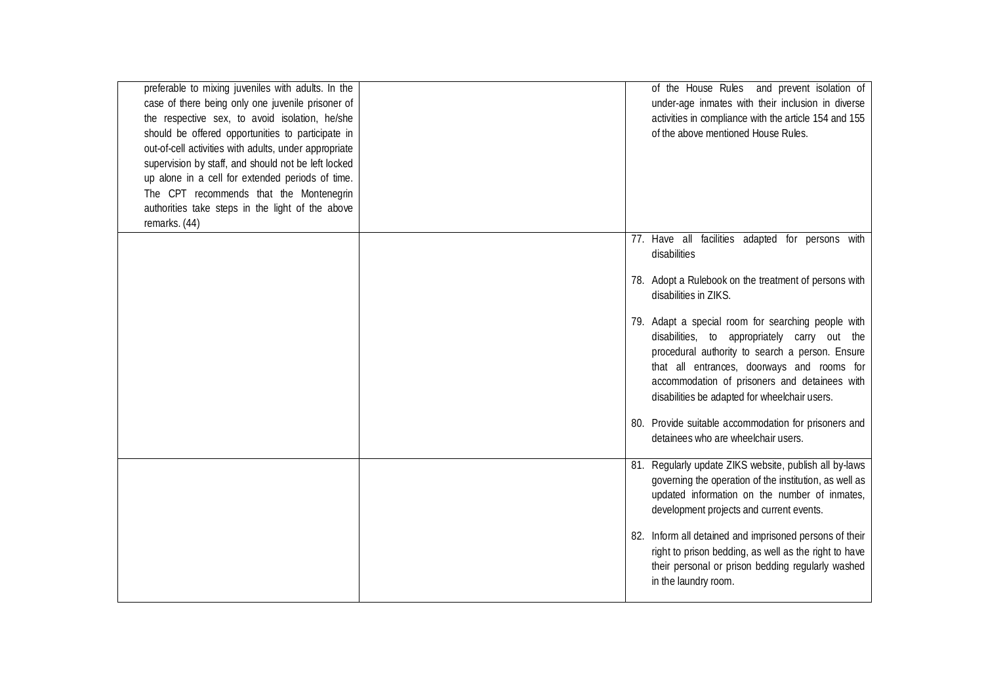| preferable to mixing juveniles with adults. In the    |  | of the House Rules and prevent isolation of             |
|-------------------------------------------------------|--|---------------------------------------------------------|
| case of there being only one juvenile prisoner of     |  | under-age inmates with their inclusion in diverse       |
| the respective sex, to avoid isolation, he/she        |  | activities in compliance with the article 154 and 155   |
| should be offered opportunities to participate in     |  | of the above mentioned House Rules.                     |
| out-of-cell activities with adults, under appropriate |  |                                                         |
| supervision by staff, and should not be left locked   |  |                                                         |
| up alone in a cell for extended periods of time.      |  |                                                         |
| The CPT recommends that the Montenegrin               |  |                                                         |
| authorities take steps in the light of the above      |  |                                                         |
| remarks. (44)                                         |  |                                                         |
|                                                       |  | 77. Have all facilities adapted for persons with        |
|                                                       |  | disabilities                                            |
|                                                       |  |                                                         |
|                                                       |  | 78. Adopt a Rulebook on the treatment of persons with   |
|                                                       |  | disabilities in ZIKS.                                   |
|                                                       |  |                                                         |
|                                                       |  | 79. Adapt a special room for searching people with      |
|                                                       |  | disabilities, to appropriately carry out the            |
|                                                       |  | procedural authority to search a person. Ensure         |
|                                                       |  | that all entrances, doorways and rooms for              |
|                                                       |  | accommodation of prisoners and detainees with           |
|                                                       |  | disabilities be adapted for wheelchair users.           |
|                                                       |  |                                                         |
|                                                       |  | 80. Provide suitable accommodation for prisoners and    |
|                                                       |  | detainees who are wheelchair users.                     |
|                                                       |  |                                                         |
|                                                       |  | 81. Regularly update ZIKS website, publish all by-laws  |
|                                                       |  | governing the operation of the institution, as well as  |
|                                                       |  | updated information on the number of inmates,           |
|                                                       |  | development projects and current events.                |
|                                                       |  |                                                         |
|                                                       |  | 82. Inform all detained and imprisoned persons of their |
|                                                       |  | right to prison bedding, as well as the right to have   |
|                                                       |  | their personal or prison bedding regularly washed       |
|                                                       |  | in the laundry room.                                    |
|                                                       |  |                                                         |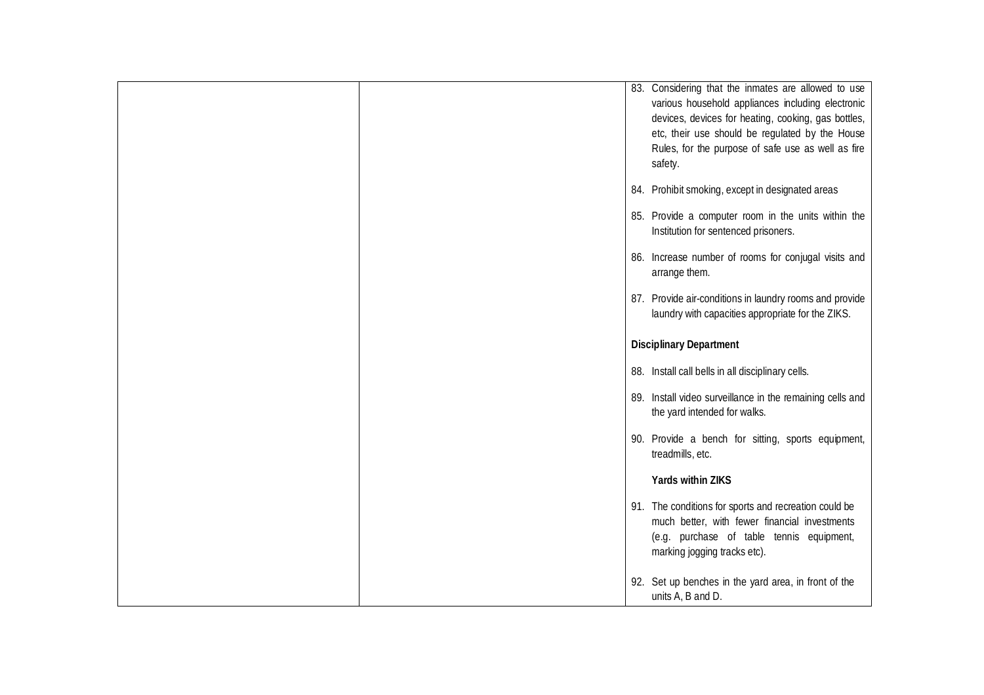|  | 83. Considering that the inmates are allowed to use<br>various household appliances including electronic<br>devices, devices for heating, cooking, gas bottles,<br>etc, their use should be regulated by the House<br>Rules, for the purpose of safe use as well as fire<br>safety. |
|--|-------------------------------------------------------------------------------------------------------------------------------------------------------------------------------------------------------------------------------------------------------------------------------------|
|  | 84. Prohibit smoking, except in designated areas                                                                                                                                                                                                                                    |
|  | 85. Provide a computer room in the units within the<br>Institution for sentenced prisoners.                                                                                                                                                                                         |
|  | 86. Increase number of rooms for conjugal visits and<br>arrange them.                                                                                                                                                                                                               |
|  | 87. Provide air-conditions in laundry rooms and provide<br>laundry with capacities appropriate for the ZIKS.                                                                                                                                                                        |
|  | <b>Disciplinary Department</b>                                                                                                                                                                                                                                                      |
|  | 88. Install call bells in all disciplinary cells.                                                                                                                                                                                                                                   |
|  | 89. Install video surveillance in the remaining cells and<br>the yard intended for walks.                                                                                                                                                                                           |
|  | 90. Provide a bench for sitting, sports equipment,<br>treadmills, etc.                                                                                                                                                                                                              |
|  | <b>Yards within ZIKS</b>                                                                                                                                                                                                                                                            |
|  | 91. The conditions for sports and recreation could be<br>much better, with fewer financial investments<br>(e.g. purchase of table tennis equipment,<br>marking jogging tracks etc).                                                                                                 |
|  | 92. Set up benches in the yard area, in front of the<br>units A, B and D.                                                                                                                                                                                                           |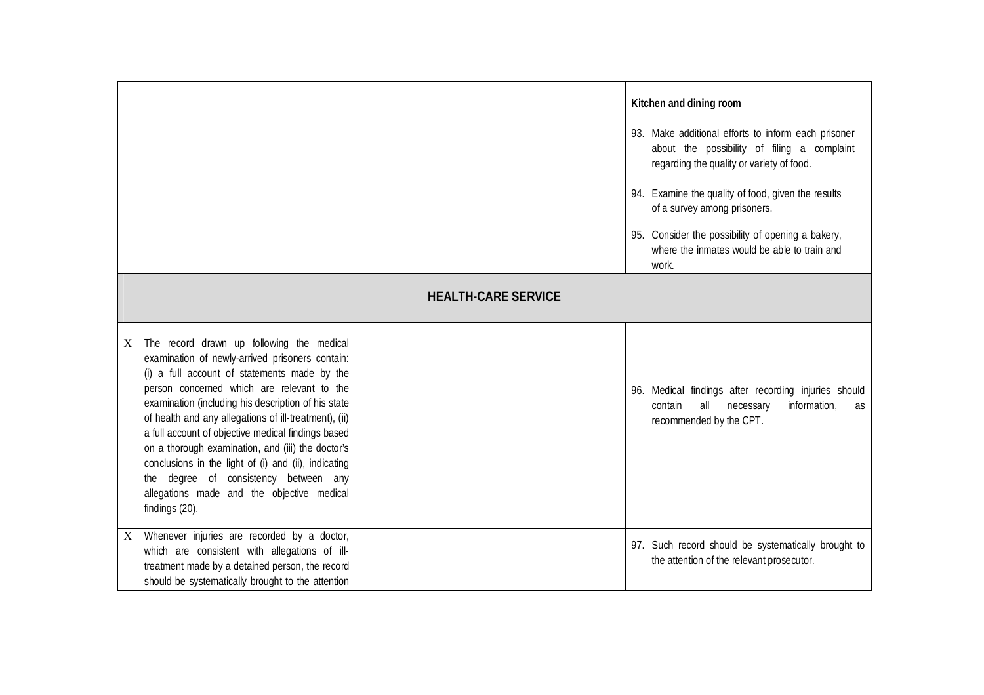|                                                                                                                                                                                                                                                                                                                                                                                                                                                                                                                                                                                             |                            | Kitchen and dining room<br>93. Make additional efforts to inform each prisoner<br>about the possibility of filing a complaint<br>regarding the quality or variety of food.<br>94. Examine the quality of food, given the results<br>of a survey among prisoners.<br>95. Consider the possibility of opening a bakery,<br>where the inmates would be able to train and<br>work. |
|---------------------------------------------------------------------------------------------------------------------------------------------------------------------------------------------------------------------------------------------------------------------------------------------------------------------------------------------------------------------------------------------------------------------------------------------------------------------------------------------------------------------------------------------------------------------------------------------|----------------------------|--------------------------------------------------------------------------------------------------------------------------------------------------------------------------------------------------------------------------------------------------------------------------------------------------------------------------------------------------------------------------------|
|                                                                                                                                                                                                                                                                                                                                                                                                                                                                                                                                                                                             | <b>HEALTH-CARE SERVICE</b> |                                                                                                                                                                                                                                                                                                                                                                                |
| The record drawn up following the medical<br>X<br>examination of newly-arrived prisoners contain:<br>(i) a full account of statements made by the<br>person concerned which are relevant to the<br>examination (including his description of his state<br>of health and any allegations of ill-treatment), (ii)<br>a full account of objective medical findings based<br>on a thorough examination, and (iii) the doctor's<br>conclusions in the light of (i) and (ii), indicating<br>the degree of consistency between any<br>allegations made and the objective medical<br>findings (20). |                            | 96. Medical findings after recording injuries should<br>all necessary<br>information,<br>contain<br>as<br>recommended by the CPT.                                                                                                                                                                                                                                              |
| Whenever injuries are recorded by a doctor,<br>$\mathbf{X}$<br>which are consistent with allegations of ill-<br>treatment made by a detained person, the record<br>should be systematically brought to the attention                                                                                                                                                                                                                                                                                                                                                                        |                            | 97. Such record should be systematically brought to<br>the attention of the relevant prosecutor.                                                                                                                                                                                                                                                                               |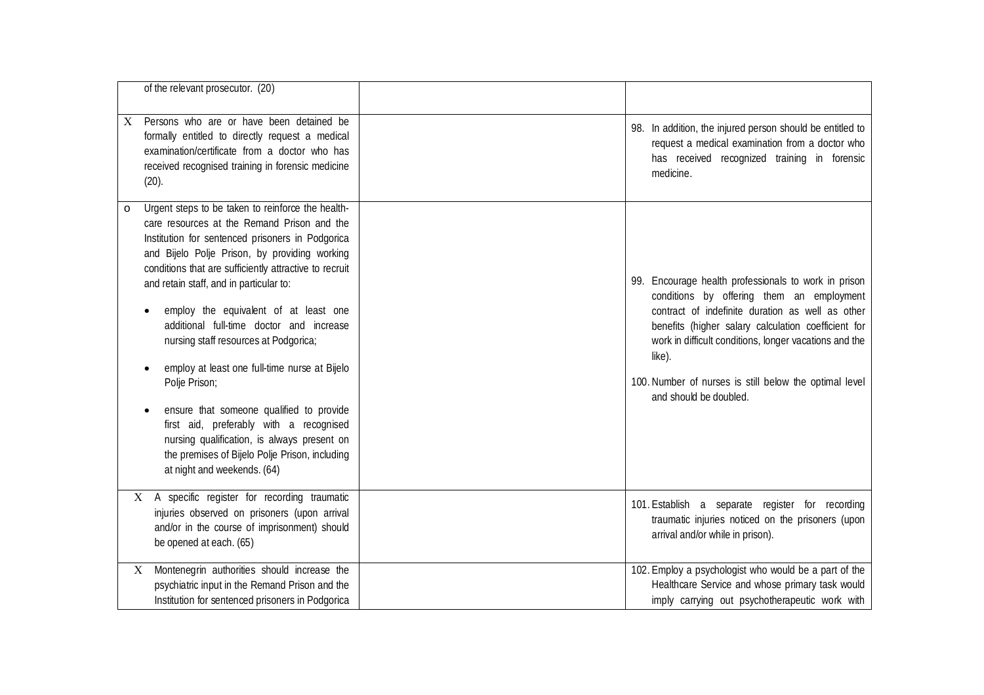| of the relevant prosecutor. (20)                                                                                                                                                                                                                                                                                                                                                                                                                                                                                                                                                                                                                                                                                                             |                                                                                                                                                                                                                                                                                                                                                                      |
|----------------------------------------------------------------------------------------------------------------------------------------------------------------------------------------------------------------------------------------------------------------------------------------------------------------------------------------------------------------------------------------------------------------------------------------------------------------------------------------------------------------------------------------------------------------------------------------------------------------------------------------------------------------------------------------------------------------------------------------------|----------------------------------------------------------------------------------------------------------------------------------------------------------------------------------------------------------------------------------------------------------------------------------------------------------------------------------------------------------------------|
| Persons who are or have been detained be<br>X.<br>formally entitled to directly request a medical<br>examination/certificate from a doctor who has<br>received recognised training in forensic medicine<br>(20).                                                                                                                                                                                                                                                                                                                                                                                                                                                                                                                             | 98. In addition, the injured person should be entitled to<br>request a medical examination from a doctor who<br>has received recognized training in forensic<br>medicine.                                                                                                                                                                                            |
| Urgent steps to be taken to reinforce the health-<br>$\circ$<br>care resources at the Remand Prison and the<br>Institution for sentenced prisoners in Podgorica<br>and Bijelo Polje Prison, by providing working<br>conditions that are sufficiently attractive to recruit<br>and retain staff, and in particular to:<br>employ the equivalent of at least one<br>additional full-time doctor and increase<br>nursing staff resources at Podgorica;<br>employ at least one full-time nurse at Bijelo<br>Polje Prison;<br>ensure that someone qualified to provide<br>first aid, preferably with a recognised<br>nursing qualification, is always present on<br>the premises of Bijelo Polje Prison, including<br>at night and weekends. (64) | 99. Encourage health professionals to work in prison<br>conditions by offering them an employment<br>contract of indefinite duration as well as other<br>benefits (higher salary calculation coefficient for<br>work in difficult conditions, longer vacations and the<br>like).<br>100. Number of nurses is still below the optimal level<br>and should be doubled. |
| X A specific register for recording traumatic<br>injuries observed on prisoners (upon arrival<br>and/or in the course of imprisonment) should<br>be opened at each. (65)                                                                                                                                                                                                                                                                                                                                                                                                                                                                                                                                                                     | 101. Establish a separate register for recording<br>traumatic injuries noticed on the prisoners (upon<br>arrival and/or while in prison).                                                                                                                                                                                                                            |
| Montenegrin authorities should increase the<br>X<br>psychiatric input in the Remand Prison and the<br>Institution for sentenced prisoners in Podgorica                                                                                                                                                                                                                                                                                                                                                                                                                                                                                                                                                                                       | 102. Employ a psychologist who would be a part of the<br>Healthcare Service and whose primary task would<br>imply carrying out psychotherapeutic work with                                                                                                                                                                                                           |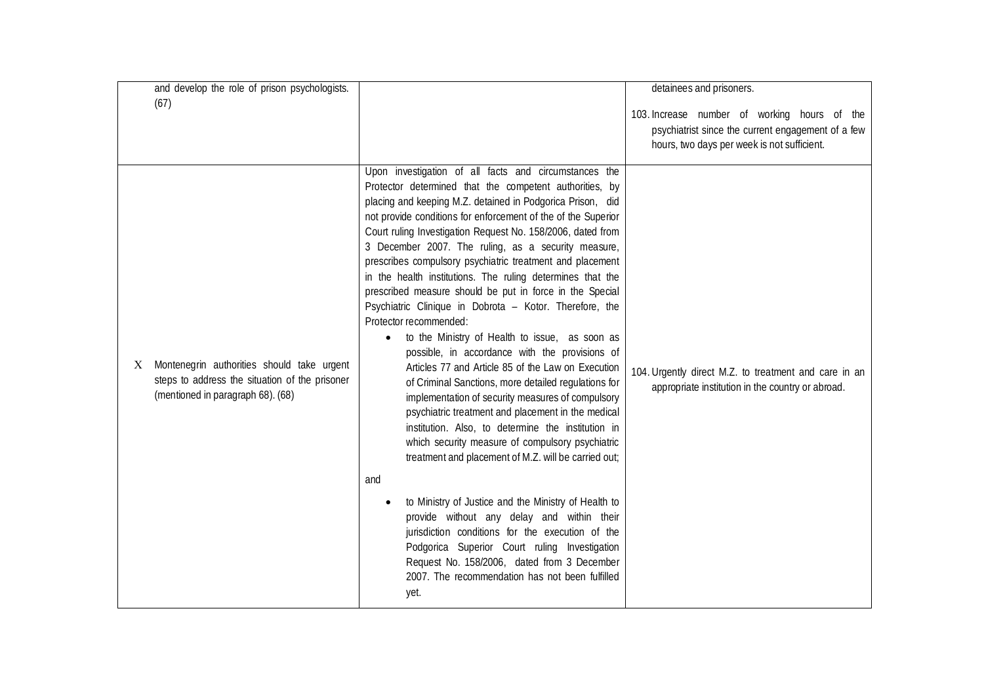| and develop the role of prison psychologists.                                                                                          |                                                                                                                                                                                                                                                                                                                                                                                                                                                                                                                                                                                                                                                                                                                                                                                                                                                                                                                                                                                                                                                                                                                                                                                                                                                                                                                                                                                                                                                                              | detainees and prisoners.                                                                                                                          |
|----------------------------------------------------------------------------------------------------------------------------------------|------------------------------------------------------------------------------------------------------------------------------------------------------------------------------------------------------------------------------------------------------------------------------------------------------------------------------------------------------------------------------------------------------------------------------------------------------------------------------------------------------------------------------------------------------------------------------------------------------------------------------------------------------------------------------------------------------------------------------------------------------------------------------------------------------------------------------------------------------------------------------------------------------------------------------------------------------------------------------------------------------------------------------------------------------------------------------------------------------------------------------------------------------------------------------------------------------------------------------------------------------------------------------------------------------------------------------------------------------------------------------------------------------------------------------------------------------------------------------|---------------------------------------------------------------------------------------------------------------------------------------------------|
| (67)                                                                                                                                   |                                                                                                                                                                                                                                                                                                                                                                                                                                                                                                                                                                                                                                                                                                                                                                                                                                                                                                                                                                                                                                                                                                                                                                                                                                                                                                                                                                                                                                                                              | 103. Increase number of working hours of the<br>psychiatrist since the current engagement of a few<br>hours, two days per week is not sufficient. |
| Montenegrin authorities should take urgent<br>X<br>steps to address the situation of the prisoner<br>(mentioned in paragraph 68). (68) | Upon investigation of all facts and circumstances the<br>Protector determined that the competent authorities, by<br>placing and keeping M.Z. detained in Podgorica Prison, did<br>not provide conditions for enforcement of the of the Superior<br>Court ruling Investigation Request No. 158/2006, dated from<br>3 December 2007. The ruling, as a security measure,<br>prescribes compulsory psychiatric treatment and placement<br>in the health institutions. The ruling determines that the<br>prescribed measure should be put in force in the Special<br>Psychiatric Clinique in Dobrota - Kotor. Therefore, the<br>Protector recommended:<br>to the Ministry of Health to issue, as soon as<br>possible, in accordance with the provisions of<br>Articles 77 and Article 85 of the Law on Execution<br>of Criminal Sanctions, more detailed regulations for<br>implementation of security measures of compulsory<br>psychiatric treatment and placement in the medical<br>institution. Also, to determine the institution in<br>which security measure of compulsory psychiatric<br>treatment and placement of M.Z. will be carried out;<br>and<br>to Ministry of Justice and the Ministry of Health to<br>provide without any delay and within their<br>jurisdiction conditions for the execution of the<br>Podgorica Superior Court ruling Investigation<br>Request No. 158/2006, dated from 3 December<br>2007. The recommendation has not been fulfilled<br>yet. | 104. Urgently direct M.Z. to treatment and care in an<br>appropriate institution in the country or abroad.                                        |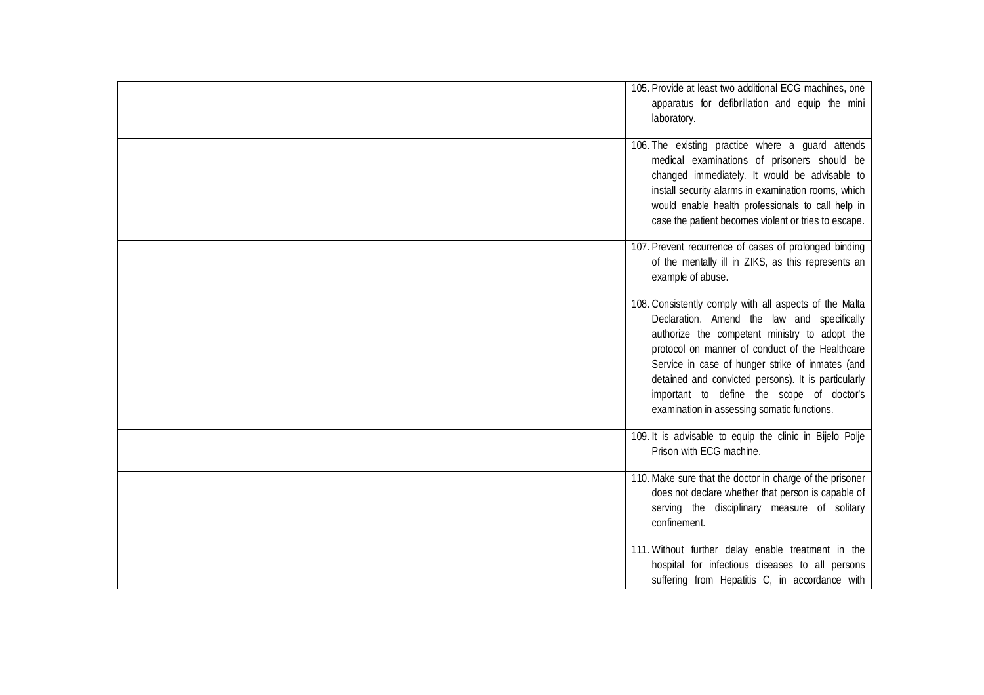| 105. Provide at least two additional ECG machines, one<br>apparatus for defibrillation and equip the mini<br>laboratory.                                                                                                                                                                                                                                                                                         |
|------------------------------------------------------------------------------------------------------------------------------------------------------------------------------------------------------------------------------------------------------------------------------------------------------------------------------------------------------------------------------------------------------------------|
| 106. The existing practice where a guard attends<br>medical examinations of prisoners should be<br>changed immediately. It would be advisable to<br>install security alarms in examination rooms, which<br>would enable health professionals to call help in<br>case the patient becomes violent or tries to escape.                                                                                             |
| 107. Prevent recurrence of cases of prolonged binding<br>of the mentally ill in ZIKS, as this represents an<br>example of abuse.                                                                                                                                                                                                                                                                                 |
| 108. Consistently comply with all aspects of the Malta<br>Declaration. Amend the law and specifically<br>authorize the competent ministry to adopt the<br>protocol on manner of conduct of the Healthcare<br>Service in case of hunger strike of inmates (and<br>detained and convicted persons). It is particularly<br>important to define the scope of doctor's<br>examination in assessing somatic functions. |
| 109. It is advisable to equip the clinic in Bijelo Polje<br>Prison with ECG machine.                                                                                                                                                                                                                                                                                                                             |
| 110. Make sure that the doctor in charge of the prisoner<br>does not declare whether that person is capable of<br>serving the disciplinary measure of solitary<br>confinement.                                                                                                                                                                                                                                   |
| 111. Without further delay enable treatment in the<br>hospital for infectious diseases to all persons<br>suffering from Hepatitis C, in accordance with                                                                                                                                                                                                                                                          |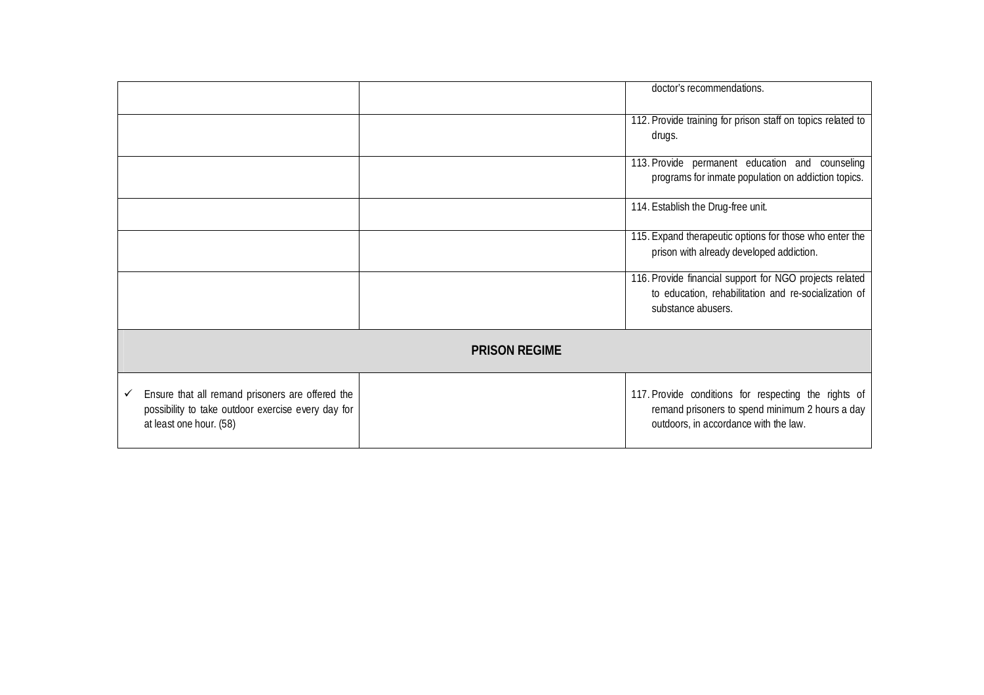|                                                                                                                                   |  | doctor's recommendations.                                                                                                                        |
|-----------------------------------------------------------------------------------------------------------------------------------|--|--------------------------------------------------------------------------------------------------------------------------------------------------|
|                                                                                                                                   |  |                                                                                                                                                  |
|                                                                                                                                   |  | 112. Provide training for prison staff on topics related to                                                                                      |
|                                                                                                                                   |  | drugs.                                                                                                                                           |
|                                                                                                                                   |  | 113. Provide permanent education and counseling                                                                                                  |
|                                                                                                                                   |  | programs for inmate population on addiction topics.                                                                                              |
|                                                                                                                                   |  | 114. Establish the Drug-free unit.                                                                                                               |
|                                                                                                                                   |  | 115. Expand therapeutic options for those who enter the<br>prison with already developed addiction.                                              |
|                                                                                                                                   |  | 116. Provide financial support for NGO projects related<br>to education, rehabilitation and re-socialization of<br>substance abusers.            |
| <b>PRISON REGIME</b>                                                                                                              |  |                                                                                                                                                  |
| Ensure that all remand prisoners are offered the<br>possibility to take outdoor exercise every day for<br>at least one hour. (58) |  | 117. Provide conditions for respecting the rights of<br>remand prisoners to spend minimum 2 hours a day<br>outdoors, in accordance with the law. |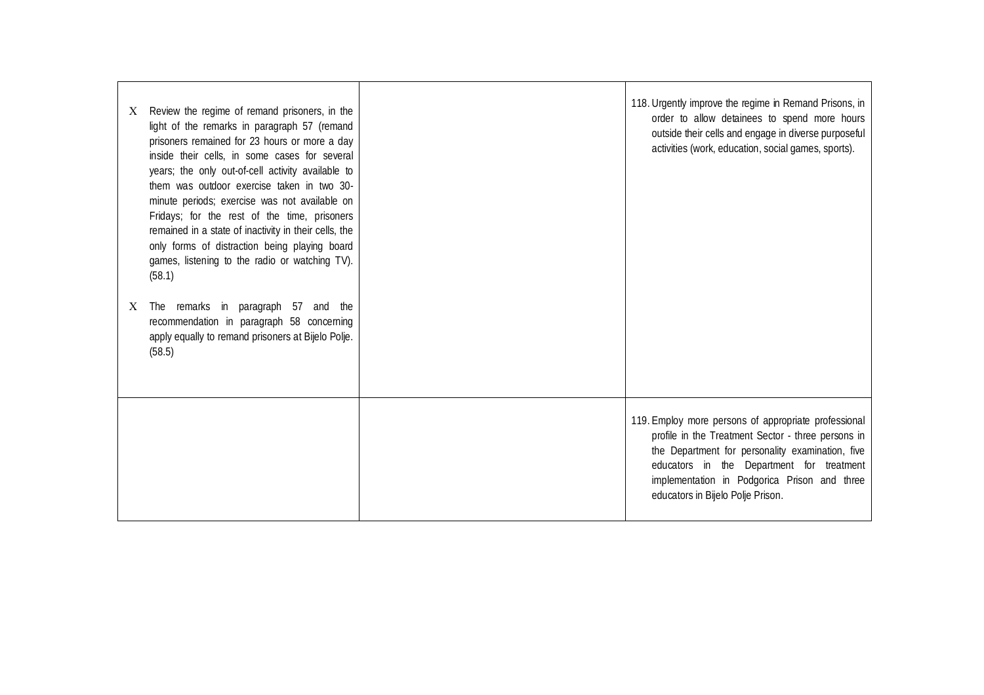| X | Review the regime of remand prisoners, in the<br>light of the remarks in paragraph 57 (remand<br>prisoners remained for 23 hours or more a day<br>inside their cells, in some cases for several<br>years; the only out-of-cell activity available to<br>them was outdoor exercise taken in two 30-<br>minute periods; exercise was not available on<br>Fridays; for the rest of the time, prisoners<br>remained in a state of inactivity in their cells, the<br>only forms of distraction being playing board<br>games, listening to the radio or watching TV).<br>(58.1) | 118. Urgently improve the regime in Remand Prisons, in<br>order to allow detainees to spend more hours<br>outside their cells and engage in diverse purposeful<br>activities (work, education, social games, sports).                                                                            |
|---|---------------------------------------------------------------------------------------------------------------------------------------------------------------------------------------------------------------------------------------------------------------------------------------------------------------------------------------------------------------------------------------------------------------------------------------------------------------------------------------------------------------------------------------------------------------------------|--------------------------------------------------------------------------------------------------------------------------------------------------------------------------------------------------------------------------------------------------------------------------------------------------|
| X | The remarks in paragraph 57 and the<br>recommendation in paragraph 58 concerning<br>apply equally to remand prisoners at Bijelo Polje.<br>(58.5)                                                                                                                                                                                                                                                                                                                                                                                                                          |                                                                                                                                                                                                                                                                                                  |
|   |                                                                                                                                                                                                                                                                                                                                                                                                                                                                                                                                                                           | 119. Employ more persons of appropriate professional<br>profile in the Treatment Sector - three persons in<br>the Department for personality examination, five<br>educators in the Department for treatment<br>implementation in Podgorica Prison and three<br>educators in Bijelo Polje Prison. |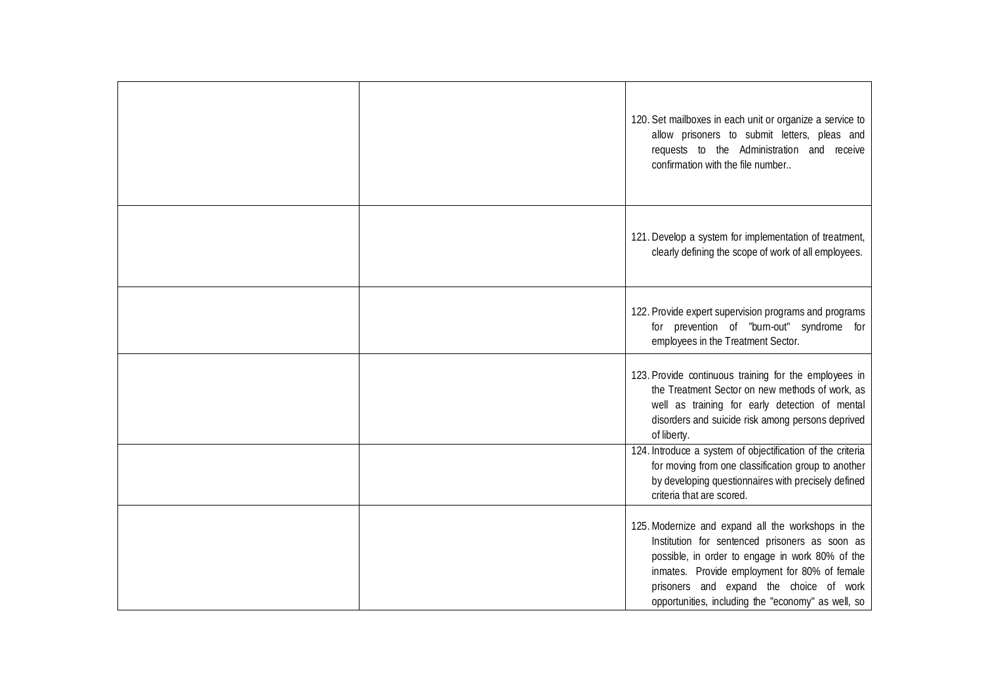|  | 120. Set mailboxes in each unit or organize a service to<br>allow prisoners to submit letters, pleas and<br>requests to the Administration and receive<br>confirmation with the file number                                                                                                               |
|--|-----------------------------------------------------------------------------------------------------------------------------------------------------------------------------------------------------------------------------------------------------------------------------------------------------------|
|  | 121. Develop a system for implementation of treatment,<br>clearly defining the scope of work of all employees.                                                                                                                                                                                            |
|  | 122. Provide expert supervision programs and programs<br>for prevention of "burn-out" syndrome for<br>employees in the Treatment Sector.                                                                                                                                                                  |
|  | 123. Provide continuous training for the employees in<br>the Treatment Sector on new methods of work, as<br>well as training for early detection of mental<br>disorders and suicide risk among persons deprived<br>of liberty.<br>124. Introduce a system of objectification of the criteria              |
|  | for moving from one classification group to another<br>by developing questionnaires with precisely defined<br>criteria that are scored.                                                                                                                                                                   |
|  | 125. Modernize and expand all the workshops in the<br>Institution for sentenced prisoners as soon as<br>possible, in order to engage in work 80% of the<br>inmates. Provide employment for 80% of female<br>prisoners and expand the choice of work<br>opportunities, including the "economy" as well, so |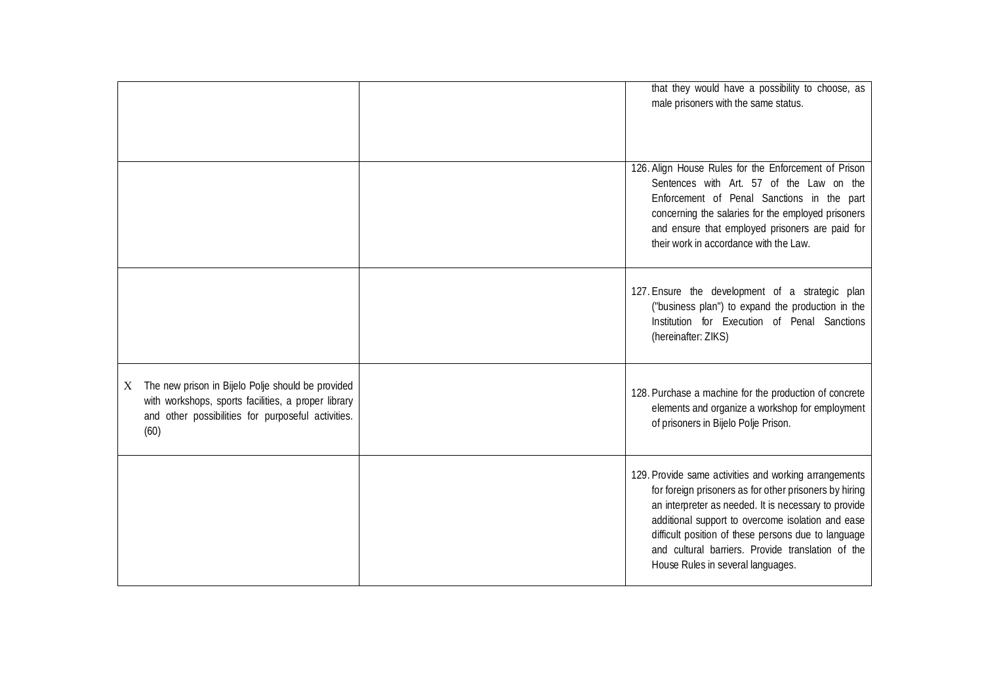|                                                                                                                                                                             | that they would have a possibility to choose, as<br>male prisoners with the same status.                                                                                                                                                                                                                                                                                      |
|-----------------------------------------------------------------------------------------------------------------------------------------------------------------------------|-------------------------------------------------------------------------------------------------------------------------------------------------------------------------------------------------------------------------------------------------------------------------------------------------------------------------------------------------------------------------------|
|                                                                                                                                                                             | 126. Align House Rules for the Enforcement of Prison<br>Sentences with Art. 57 of the Law on the<br>Enforcement of Penal Sanctions in the part<br>concerning the salaries for the employed prisoners<br>and ensure that employed prisoners are paid for<br>their work in accordance with the Law.                                                                             |
|                                                                                                                                                                             | 127. Ensure the development of a strategic plan<br>("business plan") to expand the production in the<br>Institution for Execution of Penal Sanctions<br>(hereinafter: ZIKS)                                                                                                                                                                                                   |
| The new prison in Bijelo Polje should be provided<br>X<br>with workshops, sports facilities, a proper library<br>and other possibilities for purposeful activities.<br>(60) | 128. Purchase a machine for the production of concrete<br>elements and organize a workshop for employment<br>of prisoners in Bijelo Polje Prison.                                                                                                                                                                                                                             |
|                                                                                                                                                                             | 129. Provide same activities and working arrangements<br>for foreign prisoners as for other prisoners by hiring<br>an interpreter as needed. It is necessary to provide<br>additional support to overcome isolation and ease<br>difficult position of these persons due to language<br>and cultural barriers. Provide translation of the<br>House Rules in several languages. |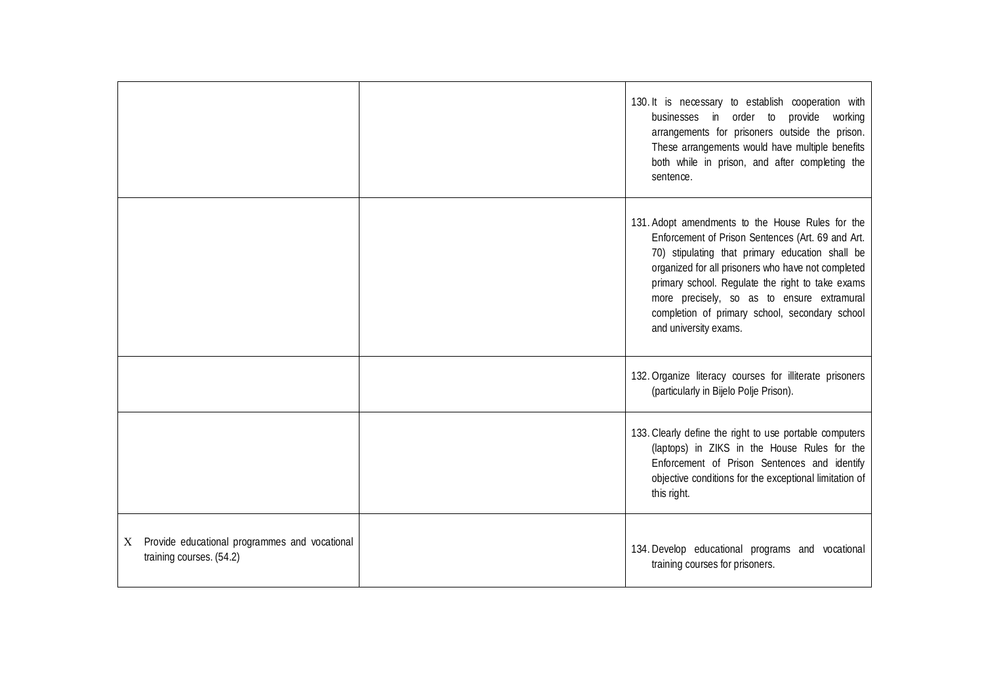|                                                                                | 130. It is necessary to establish cooperation with<br>businesses in order to provide working<br>arrangements for prisoners outside the prison.<br>These arrangements would have multiple benefits<br>both while in prison, and after completing the<br>sentence.                                                                                                                            |
|--------------------------------------------------------------------------------|---------------------------------------------------------------------------------------------------------------------------------------------------------------------------------------------------------------------------------------------------------------------------------------------------------------------------------------------------------------------------------------------|
|                                                                                | 131. Adopt amendments to the House Rules for the<br>Enforcement of Prison Sentences (Art. 69 and Art.<br>70) stipulating that primary education shall be<br>organized for all prisoners who have not completed<br>primary school. Regulate the right to take exams<br>more precisely, so as to ensure extramural<br>completion of primary school, secondary school<br>and university exams. |
|                                                                                | 132. Organize literacy courses for illiterate prisoners<br>(particularly in Bijelo Polje Prison).                                                                                                                                                                                                                                                                                           |
|                                                                                | 133. Clearly define the right to use portable computers<br>(laptops) in ZIKS in the House Rules for the<br>Enforcement of Prison Sentences and identify<br>objective conditions for the exceptional limitation of<br>this right.                                                                                                                                                            |
| Provide educational programmes and vocational<br>X<br>training courses. (54.2) | 134. Develop educational programs and vocational<br>training courses for prisoners.                                                                                                                                                                                                                                                                                                         |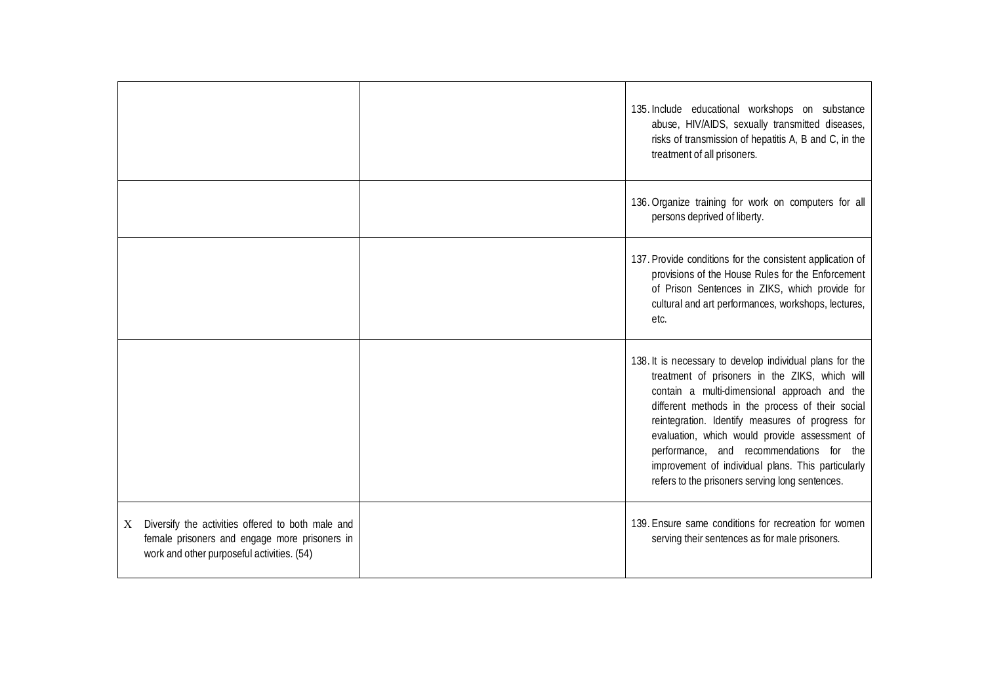|                                                                                                                                                       | 135. Include educational workshops on substance<br>abuse, HIV/AIDS, sexually transmitted diseases,<br>risks of transmission of hepatitis A, B and C, in the<br>treatment of all prisoners.                                                                                                                                                                                                                                                                               |
|-------------------------------------------------------------------------------------------------------------------------------------------------------|--------------------------------------------------------------------------------------------------------------------------------------------------------------------------------------------------------------------------------------------------------------------------------------------------------------------------------------------------------------------------------------------------------------------------------------------------------------------------|
|                                                                                                                                                       | 136. Organize training for work on computers for all<br>persons deprived of liberty.                                                                                                                                                                                                                                                                                                                                                                                     |
|                                                                                                                                                       | 137. Provide conditions for the consistent application of<br>provisions of the House Rules for the Enforcement<br>of Prison Sentences in ZIKS, which provide for<br>cultural and art performances, workshops, lectures,<br>etc.                                                                                                                                                                                                                                          |
|                                                                                                                                                       | 138. It is necessary to develop individual plans for the<br>treatment of prisoners in the ZIKS, which will<br>contain a multi-dimensional approach and the<br>different methods in the process of their social<br>reintegration. Identify measures of progress for<br>evaluation, which would provide assessment of<br>performance, and recommendations for the<br>improvement of individual plans. This particularly<br>refers to the prisoners serving long sentences. |
| Diversify the activities offered to both male and<br>X<br>female prisoners and engage more prisoners in<br>work and other purposeful activities. (54) | 139. Ensure same conditions for recreation for women<br>serving their sentences as for male prisoners.                                                                                                                                                                                                                                                                                                                                                                   |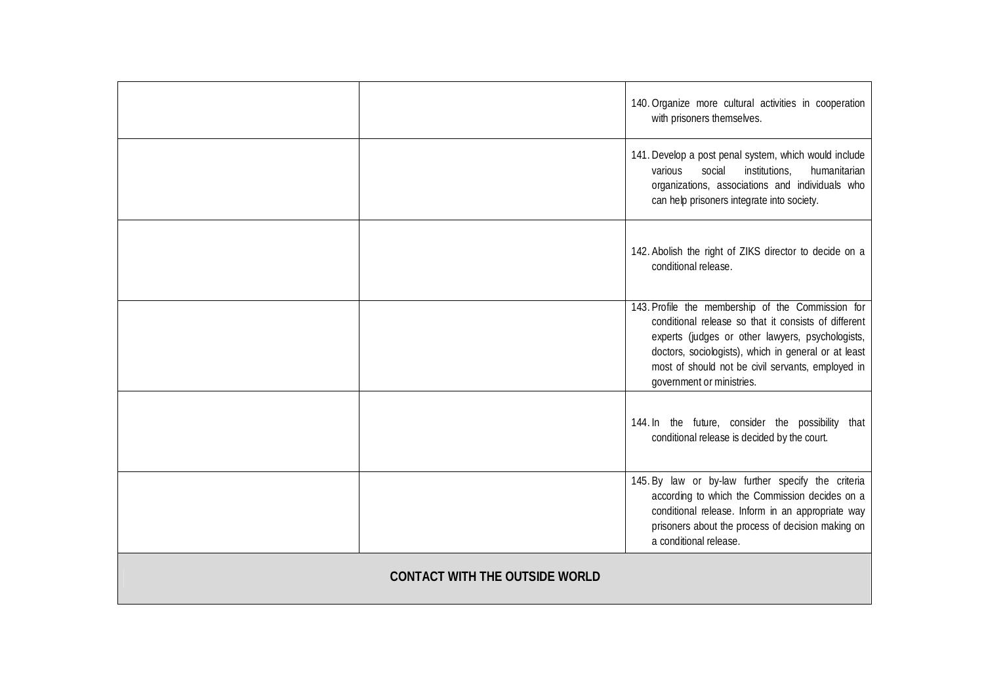|                                       | 140. Organize more cultural activities in cooperation<br>with prisoners themselves.                                                                                                                                                                                                                     |
|---------------------------------------|---------------------------------------------------------------------------------------------------------------------------------------------------------------------------------------------------------------------------------------------------------------------------------------------------------|
|                                       | 141. Develop a post penal system, which would include<br>social<br>humanitarian<br>various<br>institutions,<br>organizations, associations and individuals who<br>can help prisoners integrate into society.                                                                                            |
|                                       | 142. Abolish the right of ZIKS director to decide on a<br>conditional release.                                                                                                                                                                                                                          |
|                                       | 143. Profile the membership of the Commission for<br>conditional release so that it consists of different<br>experts (judges or other lawyers, psychologists,<br>doctors, sociologists), which in general or at least<br>most of should not be civil servants, employed in<br>government or ministries. |
|                                       | 144. In the future, consider the possibility that<br>conditional release is decided by the court.                                                                                                                                                                                                       |
|                                       | 145. By law or by-law further specify the criteria<br>according to which the Commission decides on a<br>conditional release. Inform in an appropriate way<br>prisoners about the process of decision making on<br>a conditional release.                                                                |
| <b>CONTACT WITH THE OUTSIDE WORLD</b> |                                                                                                                                                                                                                                                                                                         |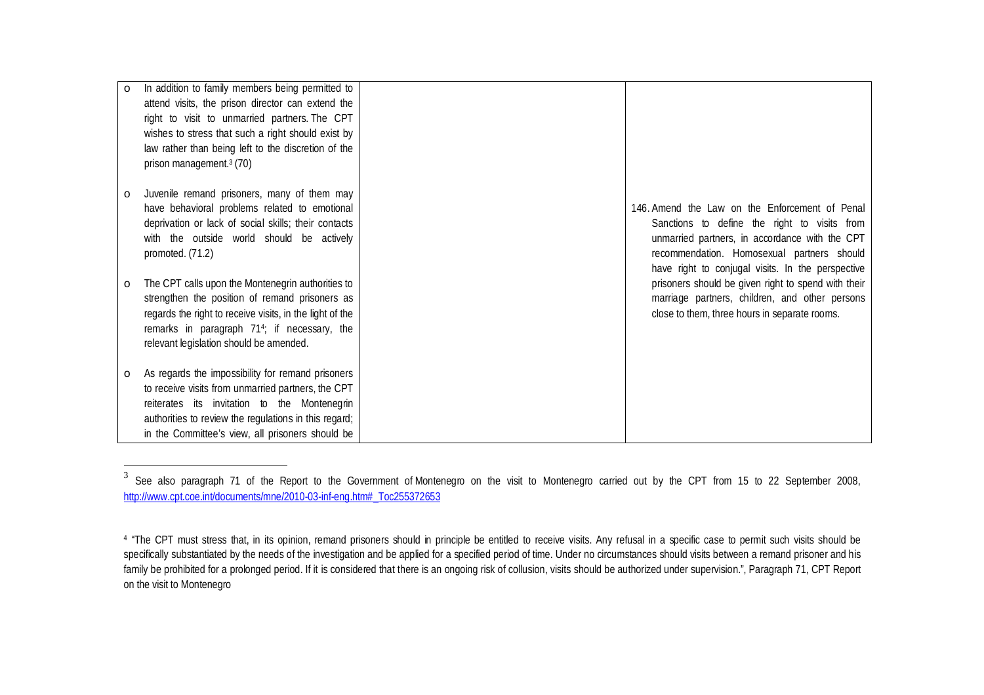| $\circ$ | In addition to family members being permitted to<br>attend visits, the prison director can extend the<br>right to visit to unmarried partners. The CPT<br>wishes to stress that such a right should exist by<br>law rather than being left to the discretion of the<br>prison management. <sup>3</sup> (70) |                                                                                                                                                                                                                                                     |
|---------|-------------------------------------------------------------------------------------------------------------------------------------------------------------------------------------------------------------------------------------------------------------------------------------------------------------|-----------------------------------------------------------------------------------------------------------------------------------------------------------------------------------------------------------------------------------------------------|
| $\circ$ | Juvenile remand prisoners, many of them may<br>have behavioral problems related to emotional<br>deprivation or lack of social skills; their contacts<br>with the outside world should be actively<br>promoted. (71.2)                                                                                       | 146. Amend the Law on the Enforcement of Penal<br>Sanctions to define the right to visits from<br>unmarried partners, in accordance with the CPT<br>recommendation. Homosexual partners should<br>have right to conjugal visits. In the perspective |
| $\circ$ | The CPT calls upon the Montenegrin authorities to<br>strengthen the position of remand prisoners as<br>regards the right to receive visits, in the light of the<br>remarks in paragraph 71 <sup>4</sup> ; if necessary, the<br>relevant legislation should be amended.                                      | prisoners should be given right to spend with their<br>marriage partners, children, and other persons<br>close to them, three hours in separate rooms.                                                                                              |
| $\circ$ | As regards the impossibility for remand prisoners<br>to receive visits from unmarried partners, the CPT<br>reiterates its invitation to the Montenegrin<br>authorities to review the regulations in this regard;<br>in the Committee's view, all prisoners should be                                        |                                                                                                                                                                                                                                                     |

<sup>3</sup> See also paragraph 71 of the Report to the Government of Montenegro on the visit to Montenegro carried out by the CPT from 15 to 22 September 2008, http://www.cpt.coe.int/documents/mne/2010-03-inf-eng.htm#\_Toc255372653

<sup>&</sup>lt;sup>4</sup> "The CPT must stress that, in its opinion, remand prisoners should in principle be entitled to receive visits. Any refusal in a specific case to permit such visits should be specifically substantiated by the needs of the investigation and be applied for a specified period of time. Under no circumstances should visits between a remand prisoner and his family be prohibited for a prolonged period. If it is considered that there is an ongoing risk of collusion, visits should be authorized under supervision.", Paragraph 71, CPT Report on the visit to Montenegro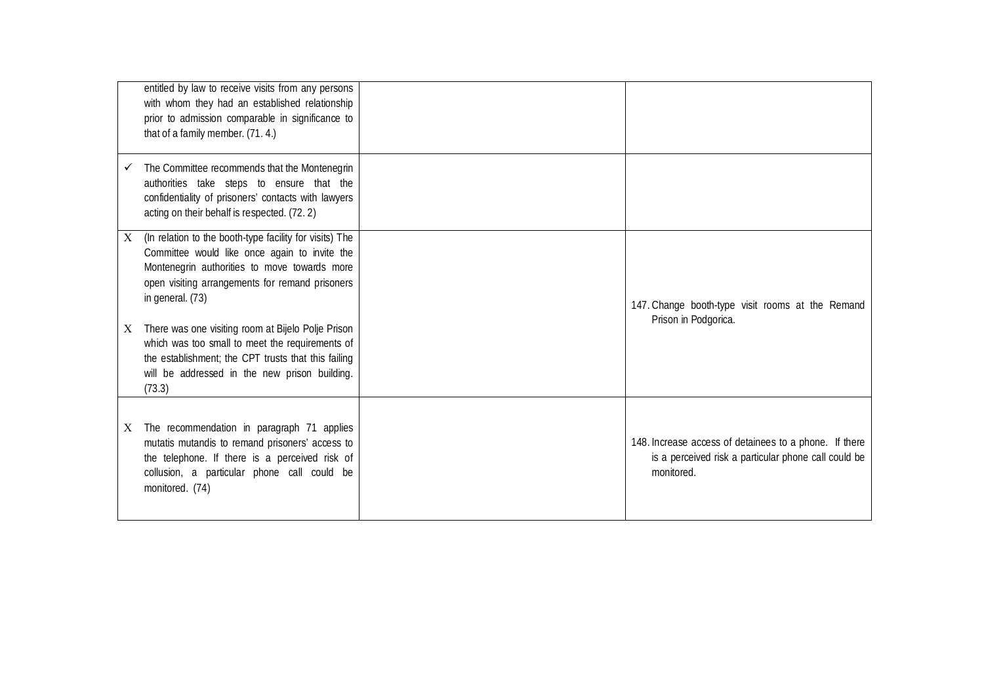|   | entitled by law to receive visits from any persons<br>with whom they had an established relationship<br>prior to admission comparable in significance to<br>that of a family member. (71.4.)                                                                                                                                                                                                                                                               |                                                                                                                              |
|---|------------------------------------------------------------------------------------------------------------------------------------------------------------------------------------------------------------------------------------------------------------------------------------------------------------------------------------------------------------------------------------------------------------------------------------------------------------|------------------------------------------------------------------------------------------------------------------------------|
|   | The Committee recommends that the Montenegrin<br>authorities take steps to ensure that the<br>confidentiality of prisoners' contacts with lawyers<br>acting on their behalf is respected. (72.2)                                                                                                                                                                                                                                                           |                                                                                                                              |
| X | (In relation to the booth-type facility for visits) The<br>Committee would like once again to invite the<br>Montenegrin authorities to move towards more<br>open visiting arrangements for remand prisoners<br>in general. (73)<br>There was one visiting room at Bijelo Polje Prison<br>which was too small to meet the requirements of<br>the establishment; the CPT trusts that this failing<br>will be addressed in the new prison building.<br>(73.3) | 147. Change booth-type visit rooms at the Remand<br>Prison in Podgorica.                                                     |
| X | The recommendation in paragraph 71 applies<br>mutatis mutandis to remand prisoners' access to<br>the telephone. If there is a perceived risk of<br>collusion, a particular phone call could be<br>monitored. (74)                                                                                                                                                                                                                                          | 148. Increase access of detainees to a phone. If there<br>is a perceived risk a particular phone call could be<br>monitored. |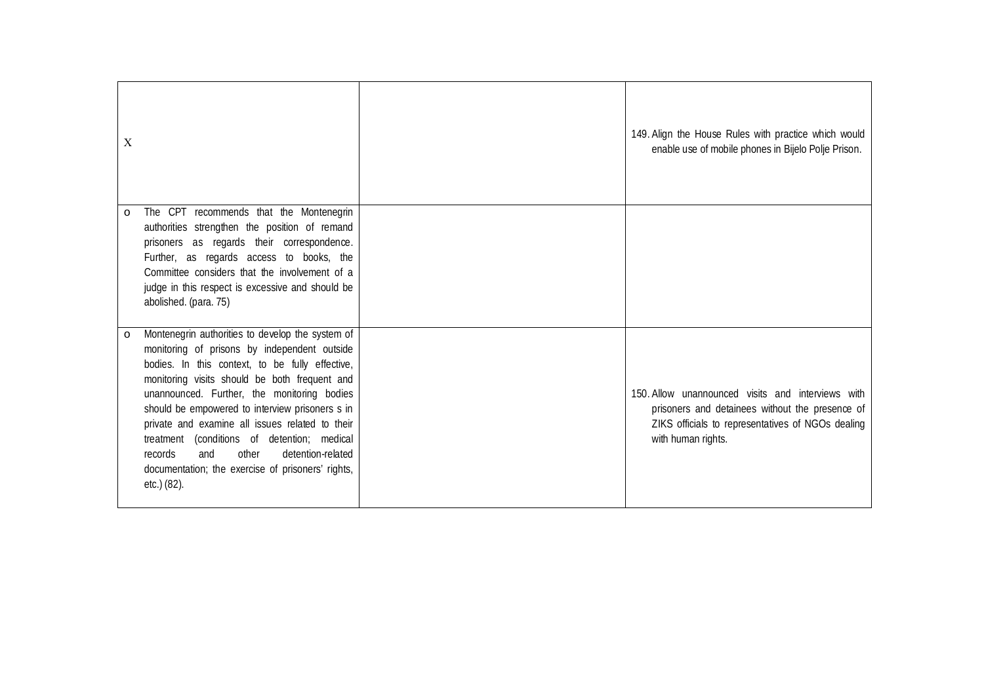| X       |                                                                                                                                                                                                                                                                                                                                                                                                                                                                                                                                 | 149. Align the House Rules with practice which would<br>enable use of mobile phones in Bijelo Polje Prison.                                                                     |
|---------|---------------------------------------------------------------------------------------------------------------------------------------------------------------------------------------------------------------------------------------------------------------------------------------------------------------------------------------------------------------------------------------------------------------------------------------------------------------------------------------------------------------------------------|---------------------------------------------------------------------------------------------------------------------------------------------------------------------------------|
| $\circ$ | The CPT recommends that the Montenegrin<br>authorities strengthen the position of remand<br>prisoners as regards their correspondence.<br>Further, as regards access to books, the<br>Committee considers that the involvement of a<br>judge in this respect is excessive and should be<br>abolished. (para. 75)                                                                                                                                                                                                                |                                                                                                                                                                                 |
| $\circ$ | Montenegrin authorities to develop the system of<br>monitoring of prisons by independent outside<br>bodies. In this context, to be fully effective,<br>monitoring visits should be both frequent and<br>unannounced. Further, the monitoring bodies<br>should be empowered to interview prisoners s in<br>private and examine all issues related to their<br>(conditions of detention; medical<br>treatment<br>other<br>detention-related<br>and<br>records<br>documentation; the exercise of prisoners' rights,<br>etc.) (82). | 150. Allow unannounced visits and interviews with<br>prisoners and detainees without the presence of<br>ZIKS officials to representatives of NGOs dealing<br>with human rights. |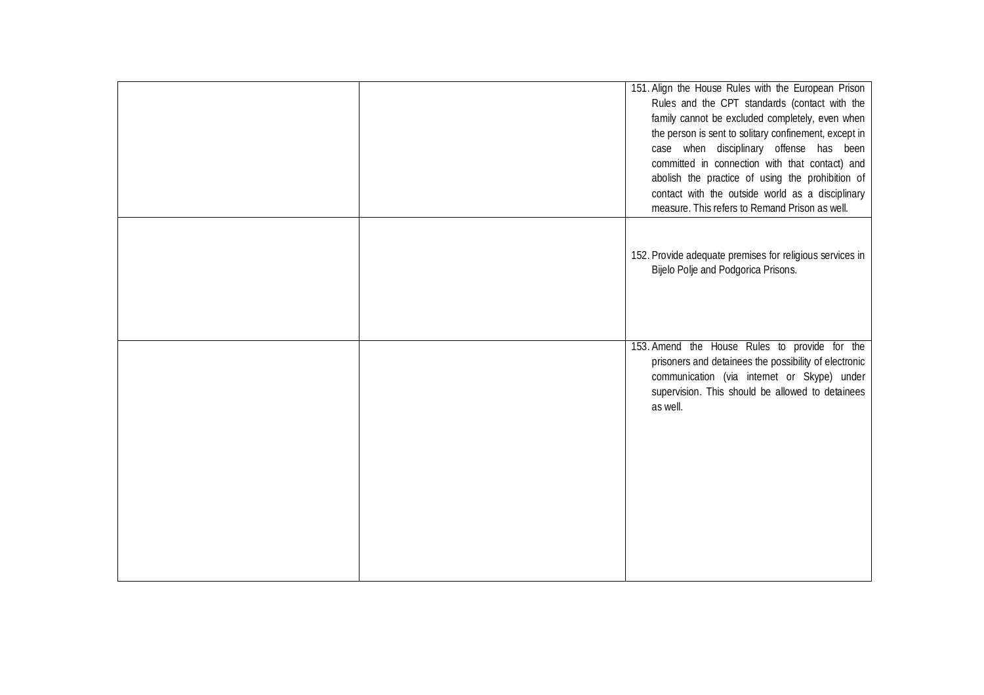|  | 151. Align the House Rules with the European Prison<br>Rules and the CPT standards (contact with the<br>family cannot be excluded completely, even when<br>the person is sent to solitary confinement, except in<br>case when disciplinary offense has been<br>committed in connection with that contact) and<br>abolish the practice of using the prohibition of<br>contact with the outside world as a disciplinary<br>measure. This refers to Remand Prison as well. |
|--|-------------------------------------------------------------------------------------------------------------------------------------------------------------------------------------------------------------------------------------------------------------------------------------------------------------------------------------------------------------------------------------------------------------------------------------------------------------------------|
|  | 152. Provide adequate premises for religious services in<br>Bijelo Polje and Podgorica Prisons.                                                                                                                                                                                                                                                                                                                                                                         |
|  | 153. Amend the House Rules to provide for the<br>prisoners and detainees the possibility of electronic<br>communication (via internet or Skype) under<br>supervision. This should be allowed to detainees<br>as well.                                                                                                                                                                                                                                                   |
|  |                                                                                                                                                                                                                                                                                                                                                                                                                                                                         |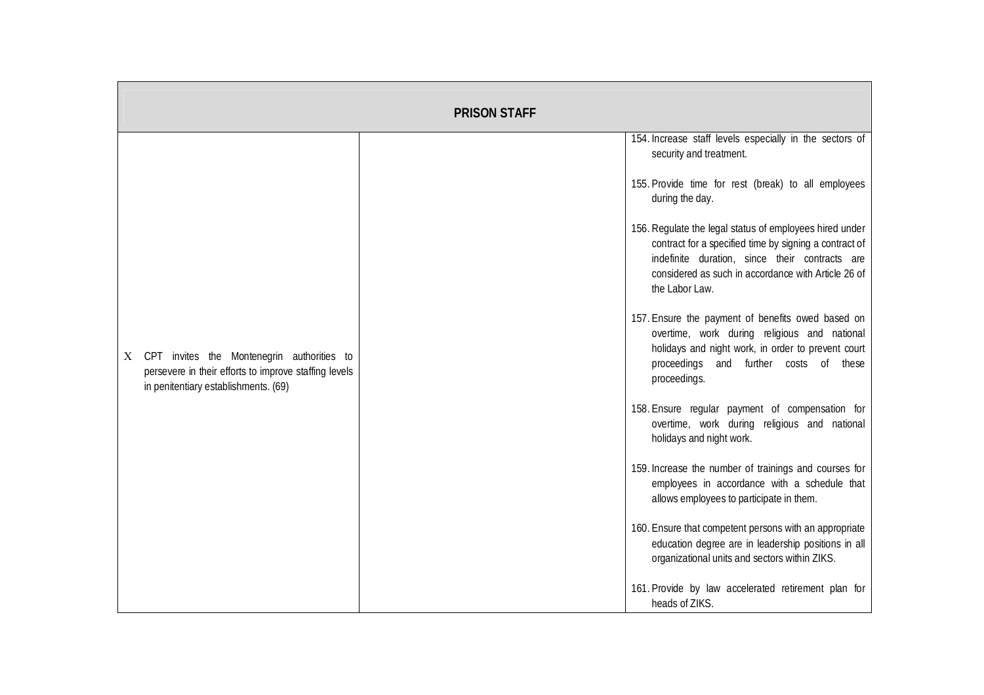|                                                                                                                                                  | <b>PRISON STAFF</b> |                                                                                                                                                                                                                                              |
|--------------------------------------------------------------------------------------------------------------------------------------------------|---------------------|----------------------------------------------------------------------------------------------------------------------------------------------------------------------------------------------------------------------------------------------|
|                                                                                                                                                  |                     | 154. Increase staff levels especially in the sectors of<br>security and treatment.                                                                                                                                                           |
|                                                                                                                                                  |                     | 155. Provide time for rest (break) to all employees<br>during the day.                                                                                                                                                                       |
|                                                                                                                                                  |                     | 156. Regulate the legal status of employees hired under<br>contract for a specified time by signing a contract of<br>indefinite duration, since their contracts are<br>considered as such in accordance with Article 26 of<br>the Labor Law. |
| CPT invites the Montenegrin authorities to<br>X<br>persevere in their efforts to improve staffing levels<br>in penitentiary establishments. (69) |                     | 157. Ensure the payment of benefits owed based on<br>overtime, work during religious and national<br>holidays and night work, in order to prevent court<br>proceedings and further costs of these<br>proceedings.                            |
|                                                                                                                                                  |                     | 158. Ensure regular payment of compensation for<br>overtime, work during religious and national<br>holidays and night work.                                                                                                                  |
|                                                                                                                                                  |                     | 159. Increase the number of trainings and courses for<br>employees in accordance with a schedule that<br>allows employees to participate in them.                                                                                            |
|                                                                                                                                                  |                     | 160. Ensure that competent persons with an appropriate<br>education degree are in leadership positions in all<br>organizational units and sectors within ZIKS.                                                                               |
|                                                                                                                                                  |                     | 161. Provide by law accelerated retirement plan for<br>heads of ZIKS.                                                                                                                                                                        |